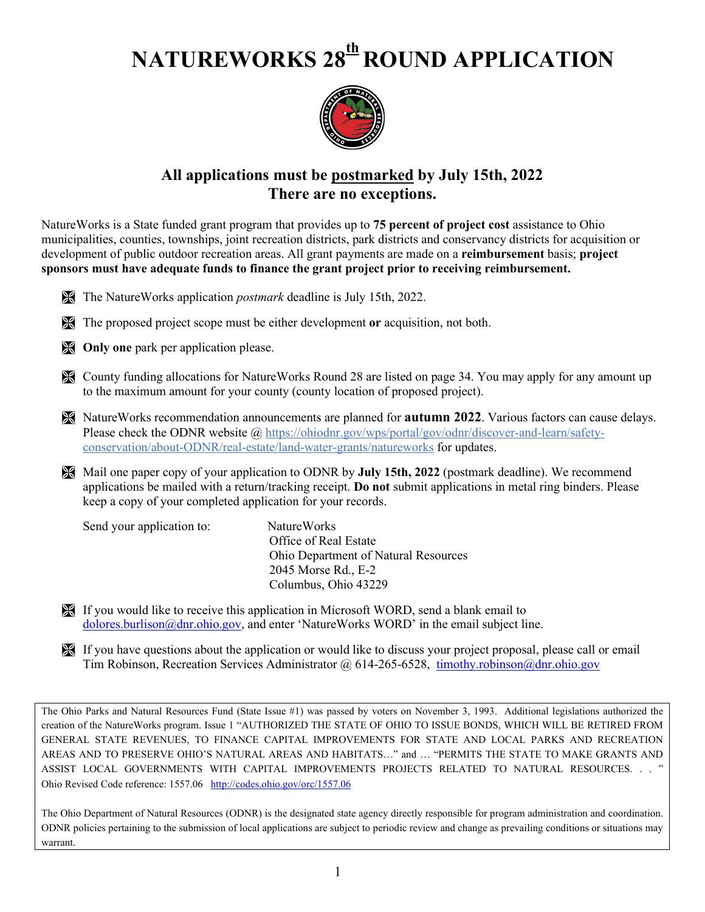# **NATUREWORKS 28th ROUND APPLICATION**



### **All applications must be postmarked by July 15th, 2022 There are no exceptions.**

NatureWorks is a State funded grant program that provides up to **75 percent of project cost** assistance to Ohio municipalities, counties, townships, joint recreation districts, park districts and conservancy districts for acquisition or development of public outdoor recreation areas. All grant payments are made on a **reimbursement** basis; **project sponsors must have adequate funds to finance the grant project prior to receiving reimbursement.**

- The NatureWorks application *postmark* deadline is July 15th, 2022.
- The proposed project scope must be either development **or** acquisition, not both.
- **Conly one** park per application please.
- County funding allocations for NatureWorks Round 28 are listed on page 34. You may apply for any amount up to the maximum amount for your county (county location of proposed project).
- NatureWorks recommendation announcements are planned for **autumn 2022**. Various factors can cause delays. Please check the ODNR website @ [https://ohiodnr.gov/wps/portal/gov/odnr/discover-and-learn/safety](https://ohiodnr.gov/wps/portal/gov/odnr/discover-and-learn/safety-conservation/about-ODNR/real-estate/land-water-grants/natureworks)[conservation/about-ODNR/real-estate/land-water-grants/natureworks](https://ohiodnr.gov/wps/portal/gov/odnr/discover-and-learn/safety-conservation/about-ODNR/real-estate/land-water-grants/natureworks) for updates.
- Mail one paper copy of your application to ODNR by **July 15th, 2022** (postmark deadline). We recommend applications be mailed with a return/tracking receipt. **Do not** submit applications in metal ring binders. Please keep a copy of your completed application for your records.

| Send your application to: | Nature Works                                |
|---------------------------|---------------------------------------------|
|                           | Office of Real Estate                       |
|                           | <b>Ohio Department of Natural Resources</b> |
|                           | 2045 Morse Rd., E-2                         |
|                           | Columbus, Ohio 43229                        |

- If you would like to receive this application in Microsoft WORD, send a blank email to [dolores.burlison@dnr.ohio.gov,](mailto:dolores.burlison@dnr.ohio.gov) and enter 'NatureWorks WORD' in the email subject line.
- If you have questions about the application or would like to discuss your project proposal, please call or email Tim Robinson, Recreation Services Administrator @ 614-265-6528, [timothy.robinson@dnr.ohio.gov](mailto:timothy.robinson@dnr.ohio.gov)

The Ohio Parks and Natural Resources Fund (State Issue #1) was passed by voters on November 3, 1993. Additional legislations authorized the creation of the NatureWorks program. Issue 1 "AUTHORIZED THE STATE OF OHIO TO ISSUE BONDS, WHICH WILL BE RETIRED FROM GENERAL STATE REVENUES, TO FINANCE CAPITAL IMPROVEMENTS FOR STATE AND LOCAL PARKS AND RECREATION AREAS AND TO PRESERVE OHIO'S NATURAL AREAS AND HABITATS…" and … "PERMITS THE STATE TO MAKE GRANTS AND ASSIST LOCAL GOVERNMENTS WITH CAPITAL IMPROVEMENTS PROJECTS RELATED TO NATURAL RESOURCES. . . " Ohio Revised Code reference: 1557.06 <http://codes.ohio.gov/orc/1557.06>

The Ohio Department of Natural Resources (ODNR) is the designated state agency directly responsible for program administration and coordination. ODNR policies pertaining to the submission of local applications are subject to periodic review and change as prevailing conditions or situations may warrant.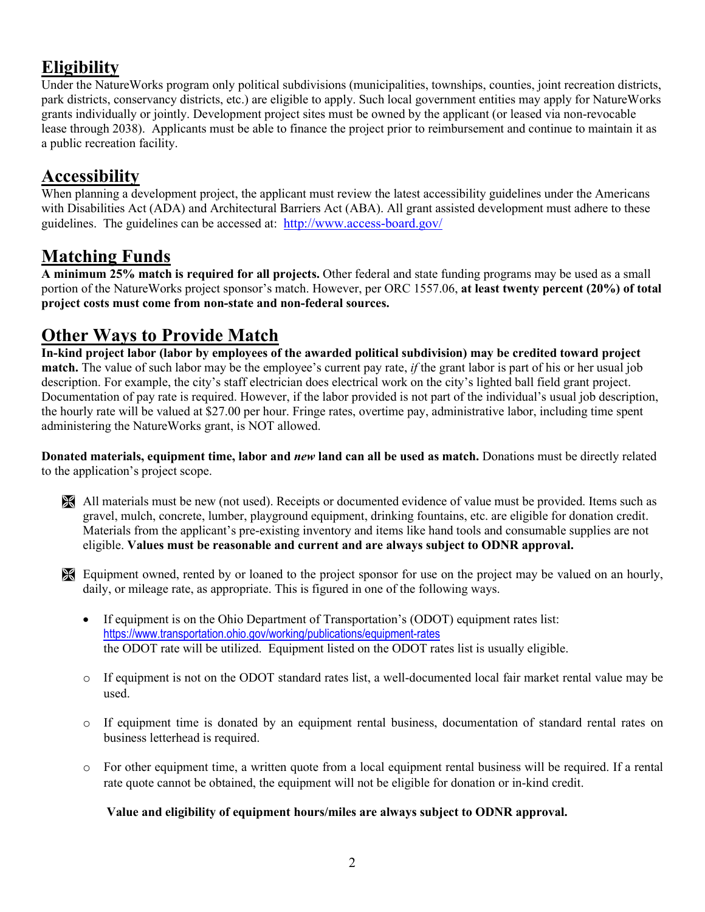# **Eligibility**

Under the NatureWorks program only political subdivisions (municipalities, townships, counties, joint recreation districts, park districts, conservancy districts, etc.) are eligible to apply. Such local government entities may apply for NatureWorks grants individually or jointly. Development project sites must be owned by the applicant (or leased via non-revocable lease through 2038). Applicants must be able to finance the project prior to reimbursement and continue to maintain it as a public recreation facility.

### **Accessibility**

When planning a development project, the applicant must review the latest accessibility guidelines under the Americans with Disabilities Act (ADA) and Architectural Barriers Act (ABA). All grant assisted development must adhere to these guidelines. The guidelines can be accessed at: <http://www.access-board.gov/>

### **Matching Funds**

**A minimum 25% match is required for all projects.** Other federal and state funding programs may be used as a small portion of the NatureWorks project sponsor's match. However, per ORC 1557.06, **at least twenty percent (20%) of total project costs must come from non-state and non-federal sources.**

# **Other Ways to Provide Match**

**In-kind project labor (labor by employees of the awarded political subdivision) may be credited toward project match.** The value of such labor may be the employee's current pay rate, *if* the grant labor is part of his or her usual job description. For example, the city's staff electrician does electrical work on the city's lighted ball field grant project. Documentation of pay rate is required. However, if the labor provided is not part of the individual's usual job description, the hourly rate will be valued at \$27.00 per hour. Fringe rates, overtime pay, administrative labor, including time spent administering the NatureWorks grant, is NOT allowed.

**Donated materials, equipment time, labor and** *new* **land can all be used as match.** Donations must be directly related to the application's project scope.

- All materials must be new (not used). Receipts or documented evidence of value must be provided. Items such as gravel, mulch, concrete, lumber, playground equipment, drinking fountains, etc. are eligible for donation credit. Materials from the applicant's pre-existing inventory and items like hand tools and consumable supplies are not eligible. **Values must be reasonable and current and are always subject to ODNR approval.**
- Equipment owned, rented by or loaned to the project sponsor for use on the project may be valued on an hourly, daily, or mileage rate, as appropriate. This is figured in one of the following ways.
	- If equipment is on the Ohio Department of Transportation's (ODOT) equipment rates list: <https://www.transportation.ohio.gov/working/publications/equipment-rates> the ODOT rate will be utilized. Equipment listed on the ODOT rates list is usually eligible.
	- o If equipment is not on the ODOT standard rates list, a well-documented local fair market rental value may be used.
	- o If equipment time is donated by an equipment rental business, documentation of standard rental rates on business letterhead is required.
	- $\circ$  For other equipment time, a written quote from a local equipment rental business will be required. If a rental rate quote cannot be obtained, the equipment will not be eligible for donation or in-kind credit.

 **Value and eligibility of equipment hours/miles are always subject to ODNR approval.**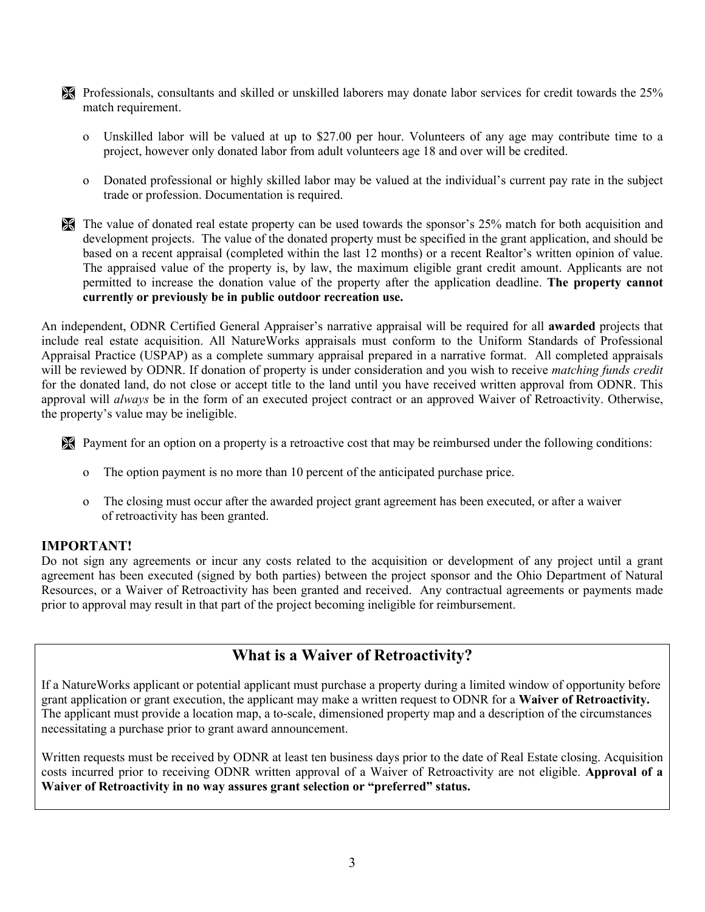- Professionals, consultants and skilled or unskilled laborers may donate labor services for credit towards the 25% match requirement.
	- o Unskilled labor will be valued at up to \$27.00 per hour. Volunteers of any age may contribute time to a project, however only donated labor from adult volunteers age 18 and over will be credited.
	- o Donated professional or highly skilled labor may be valued at the individual's current pay rate in the subject trade or profession. Documentation is required.
- The value of donated real estate property can be used towards the sponsor's 25% match for both acquisition and development projects. The value of the donated property must be specified in the grant application, and should be based on a recent appraisal (completed within the last 12 months) or a recent Realtor's written opinion of value. The appraised value of the property is, by law, the maximum eligible grant credit amount. Applicants are not permitted to increase the donation value of the property after the application deadline. **The property cannot currently or previously be in public outdoor recreation use.**

An independent, ODNR Certified General Appraiser's narrative appraisal will be required for all **awarded** projects that include real estate acquisition. All NatureWorks appraisals must conform to the Uniform Standards of Professional Appraisal Practice (USPAP) as a complete summary appraisal prepared in a narrative format. All completed appraisals will be reviewed by ODNR. If donation of property is under consideration and you wish to receive *matching funds credit* for the donated land, do not close or accept title to the land until you have received written approval from ODNR. This approval will *always* be in the form of an executed project contract or an approved Waiver of Retroactivity. Otherwise, the property's value may be ineligible.

- Payment for an option on a property is a retroactive cost that may be reimbursed under the following conditions:
	- o The option payment is no more than 10 percent of the anticipated purchase price.
	- o The closing must occur after the awarded project grant agreement has been executed, or after a waiver of retroactivity has been granted.

#### **IMPORTANT!**

Do not sign any agreements or incur any costs related to the acquisition or development of any project until a grant agreement has been executed (signed by both parties) between the project sponsor and the Ohio Department of Natural Resources, or a Waiver of Retroactivity has been granted and received. Any contractual agreements or payments made prior to approval may result in that part of the project becoming ineligible for reimbursement.

### **What is a Waiver of Retroactivity?**

If a NatureWorks applicant or potential applicant must purchase a property during a limited window of opportunity before grant application or grant execution, the applicant may make a written request to ODNR for a **Waiver of Retroactivity.**  The applicant must provide a location map, a to-scale, dimensioned property map and a description of the circumstances necessitating a purchase prior to grant award announcement.

Written requests must be received by ODNR at least ten business days prior to the date of Real Estate closing. Acquisition costs incurred prior to receiving ODNR written approval of a Waiver of Retroactivity are not eligible. **Approval of a Waiver of Retroactivity in no way assures grant selection or "preferred" status.**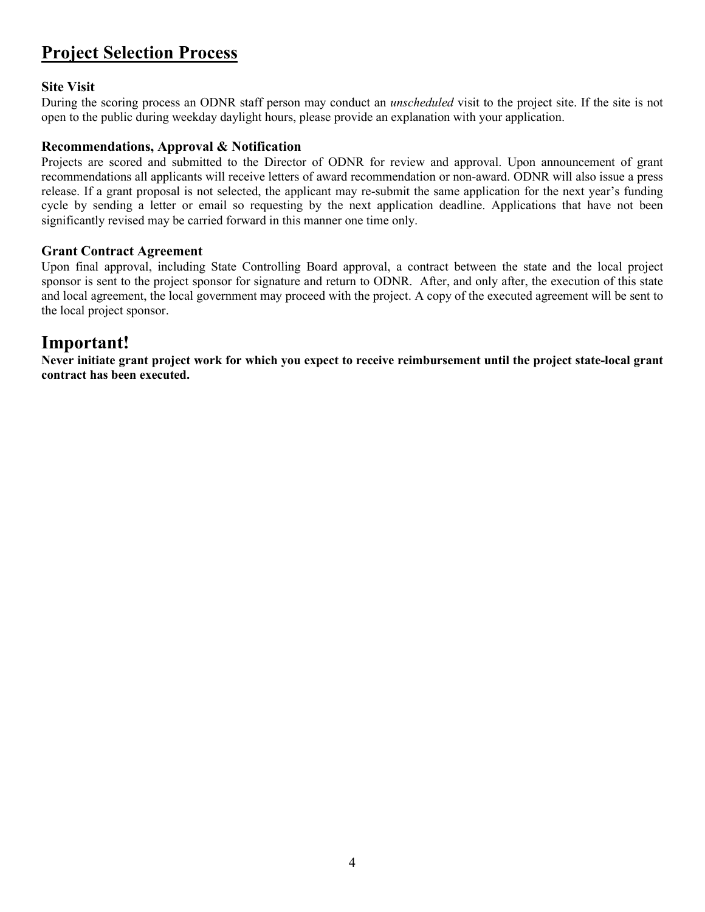# **Project Selection Process**

### **Site Visit**

During the scoring process an ODNR staff person may conduct an *unscheduled* visit to the project site. If the site is not open to the public during weekday daylight hours, please provide an explanation with your application.

#### **Recommendations, Approval & Notification**

Projects are scored and submitted to the Director of ODNR for review and approval. Upon announcement of grant recommendations all applicants will receive letters of award recommendation or non-award. ODNR will also issue a press release. If a grant proposal is not selected, the applicant may re-submit the same application for the next year's funding cycle by sending a letter or email so requesting by the next application deadline. Applications that have not been significantly revised may be carried forward in this manner one time only.

#### **Grant Contract Agreement**

Upon final approval, including State Controlling Board approval, a contract between the state and the local project sponsor is sent to the project sponsor for signature and return to ODNR. After, and only after, the execution of this state and local agreement, the local government may proceed with the project. A copy of the executed agreement will be sent to the local project sponsor.

### **Important!**

**Never initiate grant project work for which you expect to receive reimbursement until the project state-local grant contract has been executed.**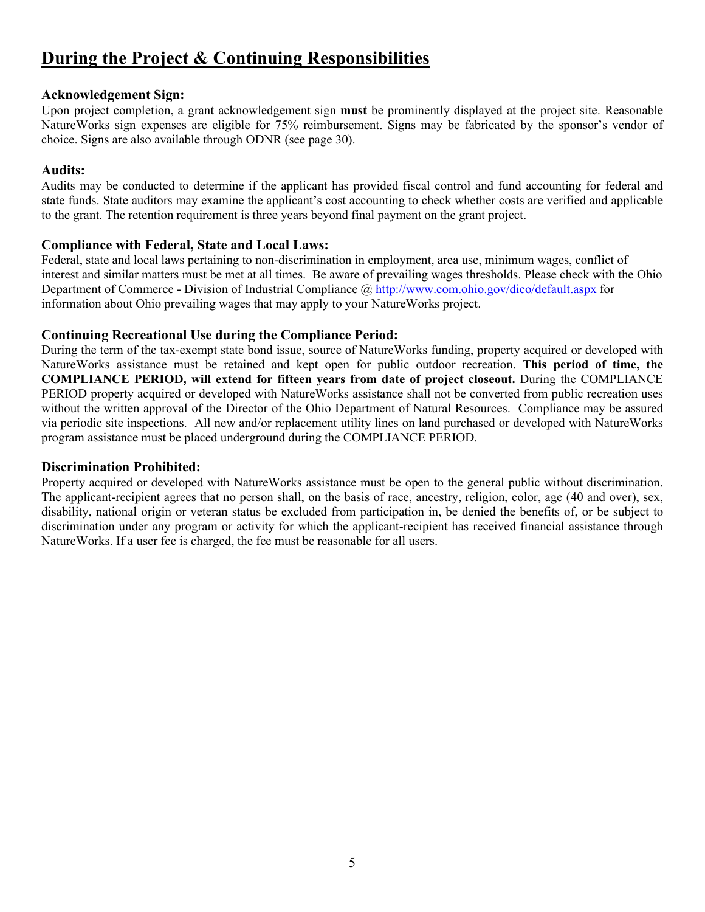# **During the Project & Continuing Responsibilities**

#### **Acknowledgement Sign:**

Upon project completion, a grant acknowledgement sign **must** be prominently displayed at the project site. Reasonable NatureWorks sign expenses are eligible for 75% reimbursement. Signs may be fabricated by the sponsor's vendor of choice. Signs are also available through ODNR (see page 30).

### **Audits:**

Audits may be conducted to determine if the applicant has provided fiscal control and fund accounting for federal and state funds. State auditors may examine the applicant's cost accounting to check whether costs are verified and applicable to the grant. The retention requirement is three years beyond final payment on the grant project.

#### **Compliance with Federal, State and Local Laws:**

Federal, state and local laws pertaining to non-discrimination in employment, area use, minimum wages, conflict of interest and similar matters must be met at all times. Be aware of prevailing wages thresholds. Please check with the Ohio Department of Commerce - Division of Industrial Compliance @<http://www.com.ohio.gov/dico/default.aspx> for information about Ohio prevailing wages that may apply to your NatureWorks project.

### **Continuing Recreational Use during the Compliance Period:**

During the term of the tax-exempt state bond issue, source of NatureWorks funding, property acquired or developed with NatureWorks assistance must be retained and kept open for public outdoor recreation. **This period of time, the COMPLIANCE PERIOD, will extend for fifteen years from date of project closeout.** During the COMPLIANCE PERIOD property acquired or developed with NatureWorks assistance shall not be converted from public recreation uses without the written approval of the Director of the Ohio Department of Natural Resources. Compliance may be assured via periodic site inspections. All new and/or replacement utility lines on land purchased or developed with NatureWorks program assistance must be placed underground during the COMPLIANCE PERIOD.

#### **Discrimination Prohibited:**

Property acquired or developed with NatureWorks assistance must be open to the general public without discrimination. The applicant-recipient agrees that no person shall, on the basis of race, ancestry, religion, color, age (40 and over), sex, disability, national origin or veteran status be excluded from participation in, be denied the benefits of, or be subject to discrimination under any program or activity for which the applicant-recipient has received financial assistance through NatureWorks. If a user fee is charged, the fee must be reasonable for all users.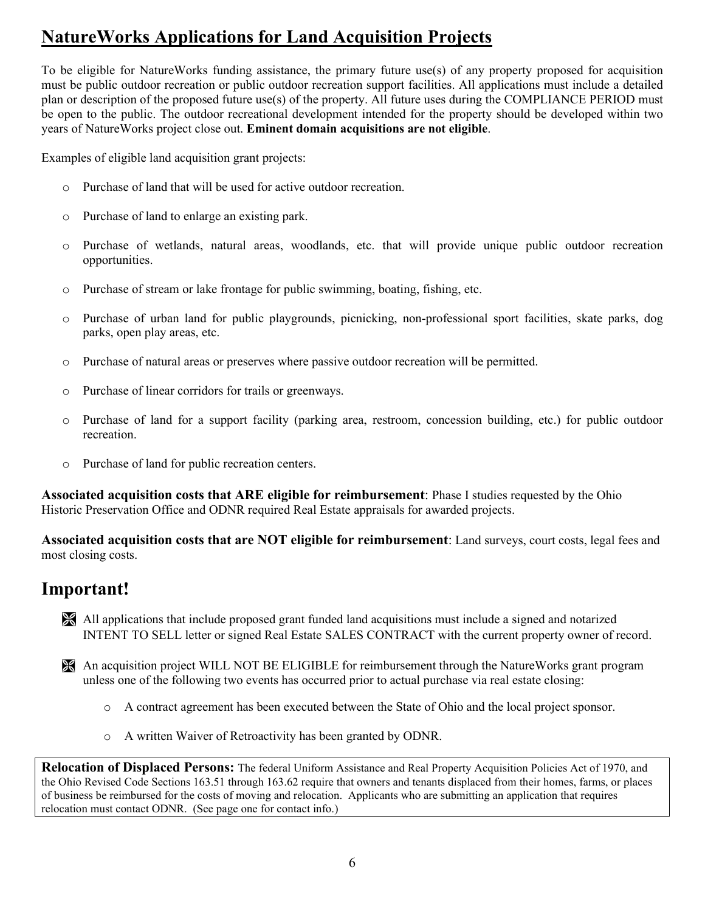# **NatureWorks Applications for Land Acquisition Projects**

To be eligible for NatureWorks funding assistance, the primary future use(s) of any property proposed for acquisition must be public outdoor recreation or public outdoor recreation support facilities. All applications must include a detailed plan or description of the proposed future use(s) of the property. All future uses during the COMPLIANCE PERIOD must be open to the public. The outdoor recreational development intended for the property should be developed within two years of NatureWorks project close out. **Eminent domain acquisitions are not eligible**.

Examples of eligible land acquisition grant projects:

- o Purchase of land that will be used for active outdoor recreation.
- o Purchase of land to enlarge an existing park.
- o Purchase of wetlands, natural areas, woodlands, etc. that will provide unique public outdoor recreation opportunities.
- o Purchase of stream or lake frontage for public swimming, boating, fishing, etc.
- o Purchase of urban land for public playgrounds, picnicking, non-professional sport facilities, skate parks, dog parks, open play areas, etc.
- o Purchase of natural areas or preserves where passive outdoor recreation will be permitted.
- o Purchase of linear corridors for trails or greenways.
- o Purchase of land for a support facility (parking area, restroom, concession building, etc.) for public outdoor recreation.
- o Purchase of land for public recreation centers.

**Associated acquisition costs that ARE eligible for reimbursement**: Phase I studies requested by the Ohio Historic Preservation Office and ODNR required Real Estate appraisals for awarded projects.

**Associated acquisition costs that are NOT eligible for reimbursement**: Land surveys, court costs, legal fees and most closing costs.

### **Important!**

 All applications that include proposed grant funded land acquisitions must include a signed and notarized INTENT TO SELL letter or signed Real Estate SALES CONTRACT with the current property owner of record.

 An acquisition project WILL NOT BE ELIGIBLE for reimbursement through the NatureWorks grant program unless one of the following two events has occurred prior to actual purchase via real estate closing:

- o A contract agreement has been executed between the State of Ohio and the local project sponsor.
- o A written Waiver of Retroactivity has been granted by ODNR.

**Relocation of Displaced Persons:** The federal Uniform Assistance and Real Property Acquisition Policies Act of 1970, and the Ohio Revised Code Sections 163.51 through 163.62 require that owners and tenants displaced from their homes, farms, or places of business be reimbursed for the costs of moving and relocation. Applicants who are submitting an application that requires relocation must contact ODNR. (See page one for contact info.)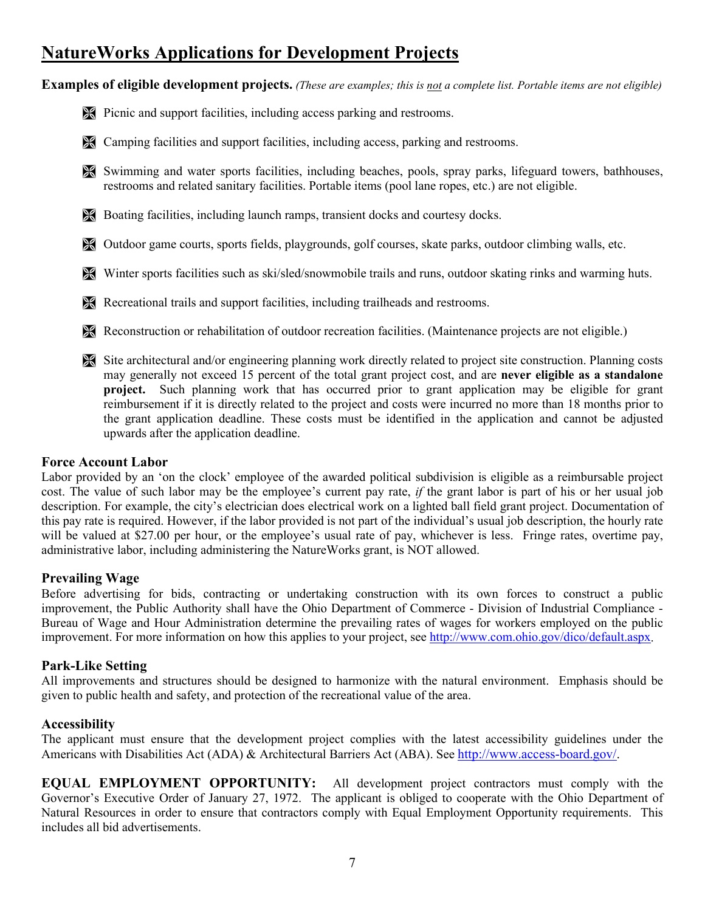# **NatureWorks Applications for Development Projects**

**Examples of eligible development projects.** *(These are examples; this is not a complete list. Portable items are not eligible)*

- Picnic and support facilities, including access parking and restrooms.
- Camping facilities and support facilities, including access, parking and restrooms.
- Swimming and water sports facilities, including beaches, pools, spray parks, lifeguard towers, bathhouses, restrooms and related sanitary facilities. Portable items (pool lane ropes, etc.) are not eligible.
- Boating facilities, including launch ramps, transient docks and courtesy docks.
- Outdoor game courts, sports fields, playgrounds, golf courses, skate parks, outdoor climbing walls, etc.
- Winter sports facilities such as ski/sled/snowmobile trails and runs, outdoor skating rinks and warming huts.
- Recreational trails and support facilities, including trailheads and restrooms.
- Reconstruction or rehabilitation of outdoor recreation facilities. (Maintenance projects are not eligible.)
- Site architectural and/or engineering planning work directly related to project site construction. Planning costs may generally not exceed 15 percent of the total grant project cost, and are **never eligible as a standalone project.** Such planning work that has occurred prior to grant application may be eligible for grant reimbursement if it is directly related to the project and costs were incurred no more than 18 months prior to the grant application deadline. These costs must be identified in the application and cannot be adjusted upwards after the application deadline.

#### **Force Account Labor**

Labor provided by an 'on the clock' employee of the awarded political subdivision is eligible as a reimbursable project cost. The value of such labor may be the employee's current pay rate, *if* the grant labor is part of his or her usual job description. For example, the city's electrician does electrical work on a lighted ball field grant project. Documentation of this pay rate is required. However, if the labor provided is not part of the individual's usual job description, the hourly rate will be valued at \$27.00 per hour, or the employee's usual rate of pay, whichever is less. Fringe rates, overtime pay, administrative labor, including administering the NatureWorks grant, is NOT allowed.

#### **Prevailing Wage**

Before advertising for bids, contracting or undertaking construction with its own forces to construct a public improvement, the Public Authority shall have the Ohio Department of Commerce - Division of Industrial Compliance - Bureau of Wage and Hour Administration determine the prevailing rates of wages for workers employed on the public improvement. For more information on how this applies to your project, see [http://www.com.ohio.gov/dico/default.aspx.](http://www.com.ohio.gov/dico/default.aspx)

#### **Park-Like Setting**

All improvements and structures should be designed to harmonize with the natural environment. Emphasis should be given to public health and safety, and protection of the recreational value of the area.

#### **Accessibility**

The applicant must ensure that the development project complies with the latest accessibility guidelines under the Americans with Disabilities Act (ADA) & Architectural Barriers Act (ABA). Se[e http://www.access-board.gov/.](http://www.access-board.gov/)

**EQUAL EMPLOYMENT OPPORTUNITY:** All development project contractors must comply with the Governor's Executive Order of January 27, 1972. The applicant is obliged to cooperate with the Ohio Department of Natural Resources in order to ensure that contractors comply with Equal Employment Opportunity requirements. This includes all bid advertisements.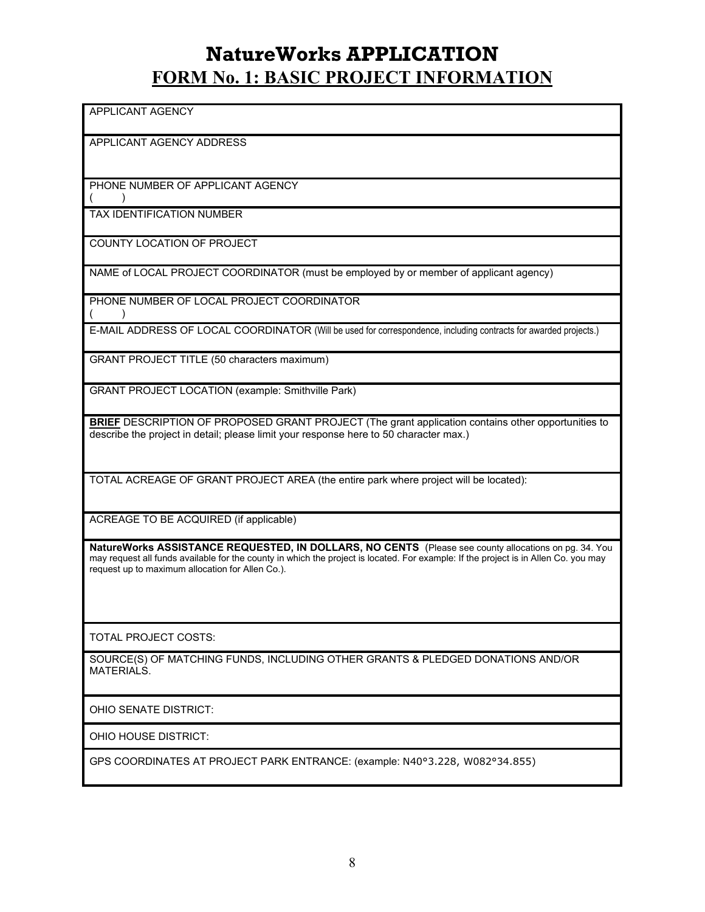# **NatureWorks APPLICATION FORM No. 1: BASIC PROJECT INFORMATION**

APPLICANT AGENCY

APPLICANT AGENCY ADDRESS

PHONE NUMBER OF APPLICANT AGENCY

( )

TAX IDENTIFICATION NUMBER

COUNTY LOCATION OF PROJECT

NAME of LOCAL PROJECT COORDINATOR (must be employed by or member of applicant agency)

PHONE NUMBER OF LOCAL PROJECT COORDINATOR  $($  )

E-MAIL ADDRESS OF LOCAL COORDINATOR (Will be used for correspondence, including contracts for awarded projects.)

GRANT PROJECT TITLE (50 characters maximum)

GRANT PROJECT LOCATION (example: Smithville Park)

**BRIEF** DESCRIPTION OF PROPOSED GRANT PROJECT (The grant application contains other opportunities to describe the project in detail; please limit your response here to 50 character max.)

TOTAL ACREAGE OF GRANT PROJECT AREA (the entire park where project will be located):

ACREAGE TO BE ACQUIRED (if applicable)

**NatureWorks ASSISTANCE REQUESTED, IN DOLLARS, NO CENTS** (Please see county allocations on pg. 34. You may request all funds available for the county in which the project is located. For example: If the project is in Allen Co. you may request up to maximum allocation for Allen Co.).

TOTAL PROJECT COSTS:

SOURCE(S) OF MATCHING FUNDS, INCLUDING OTHER GRANTS & PLEDGED DONATIONS AND/OR MATERIALS.

OHIO SENATE DISTRICT:

OHIO HOUSE DISTRICT:

GPS COORDINATES AT PROJECT PARK ENTRANCE: (example: N40°3.228, W082°34.855)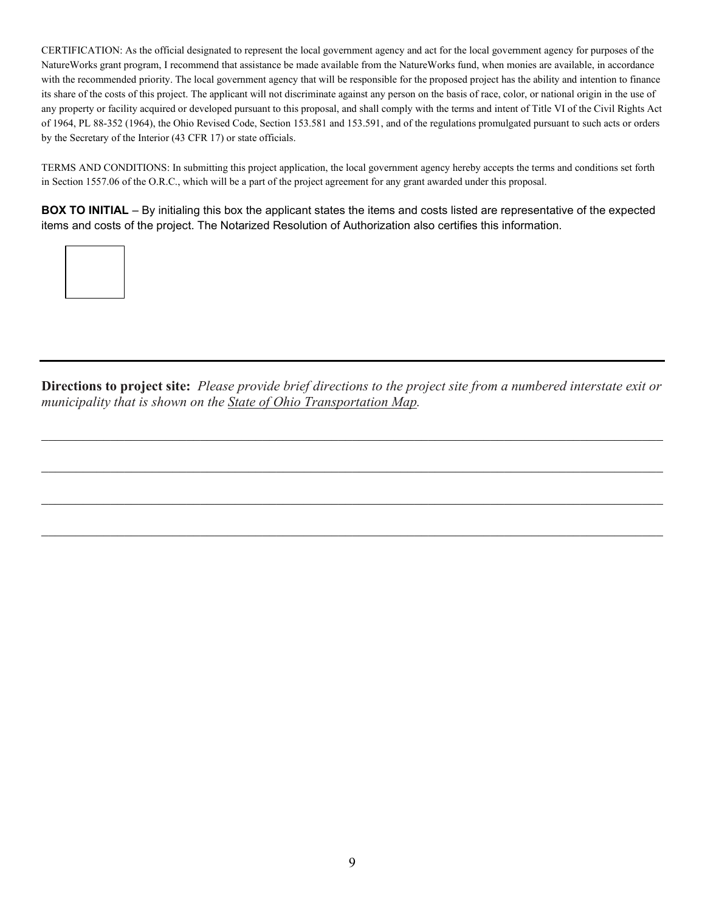CERTIFICATION: As the official designated to represent the local government agency and act for the local government agency for purposes of the NatureWorks grant program, I recommend that assistance be made available from the NatureWorks fund, when monies are available, in accordance with the recommended priority. The local government agency that will be responsible for the proposed project has the ability and intention to finance its share of the costs of this project. The applicant will not discriminate against any person on the basis of race, color, or national origin in the use of any property or facility acquired or developed pursuant to this proposal, and shall comply with the terms and intent of Title VI of the Civil Rights Act of 1964, PL 88-352 (1964), the Ohio Revised Code, Section 153.581 and 153.591, and of the regulations promulgated pursuant to such acts or orders by the Secretary of the Interior (43 CFR 17) or state officials.

TERMS AND CONDITIONS: In submitting this project application, the local government agency hereby accepts the terms and conditions set forth in Section 1557.06 of the O.R.C., which will be a part of the project agreement for any grant awarded under this proposal.

**BOX TO INITIAL** – By initialing this box the applicant states the items and costs listed are representative of the expected items and costs of the project. The Notarized Resolution of Authorization also certifies this information.



**Directions to project site:** *Please provide brief directions to the project site from a numbered interstate exit or municipality that is shown on the State of Ohio Transportation Map.* 

 $\mathcal{L}_\mathcal{L} = \{ \mathcal{L}_\mathcal{L} = \{ \mathcal{L}_\mathcal{L} = \{ \mathcal{L}_\mathcal{L} = \{ \mathcal{L}_\mathcal{L} = \{ \mathcal{L}_\mathcal{L} = \{ \mathcal{L}_\mathcal{L} = \{ \mathcal{L}_\mathcal{L} = \{ \mathcal{L}_\mathcal{L} = \{ \mathcal{L}_\mathcal{L} = \{ \mathcal{L}_\mathcal{L} = \{ \mathcal{L}_\mathcal{L} = \{ \mathcal{L}_\mathcal{L} = \{ \mathcal{L}_\mathcal{L} = \{ \mathcal{L}_\mathcal{$ 

 $\mathcal{L}_\mathcal{L} = \{ \mathcal{L}_\mathcal{L} = \{ \mathcal{L}_\mathcal{L} = \{ \mathcal{L}_\mathcal{L} = \{ \mathcal{L}_\mathcal{L} = \{ \mathcal{L}_\mathcal{L} = \{ \mathcal{L}_\mathcal{L} = \{ \mathcal{L}_\mathcal{L} = \{ \mathcal{L}_\mathcal{L} = \{ \mathcal{L}_\mathcal{L} = \{ \mathcal{L}_\mathcal{L} = \{ \mathcal{L}_\mathcal{L} = \{ \mathcal{L}_\mathcal{L} = \{ \mathcal{L}_\mathcal{L} = \{ \mathcal{L}_\mathcal{$ 

 $\mathcal{L}_\mathcal{L} = \{ \mathcal{L}_\mathcal{L} = \{ \mathcal{L}_\mathcal{L} = \{ \mathcal{L}_\mathcal{L} = \{ \mathcal{L}_\mathcal{L} = \{ \mathcal{L}_\mathcal{L} = \{ \mathcal{L}_\mathcal{L} = \{ \mathcal{L}_\mathcal{L} = \{ \mathcal{L}_\mathcal{L} = \{ \mathcal{L}_\mathcal{L} = \{ \mathcal{L}_\mathcal{L} = \{ \mathcal{L}_\mathcal{L} = \{ \mathcal{L}_\mathcal{L} = \{ \mathcal{L}_\mathcal{L} = \{ \mathcal{L}_\mathcal{$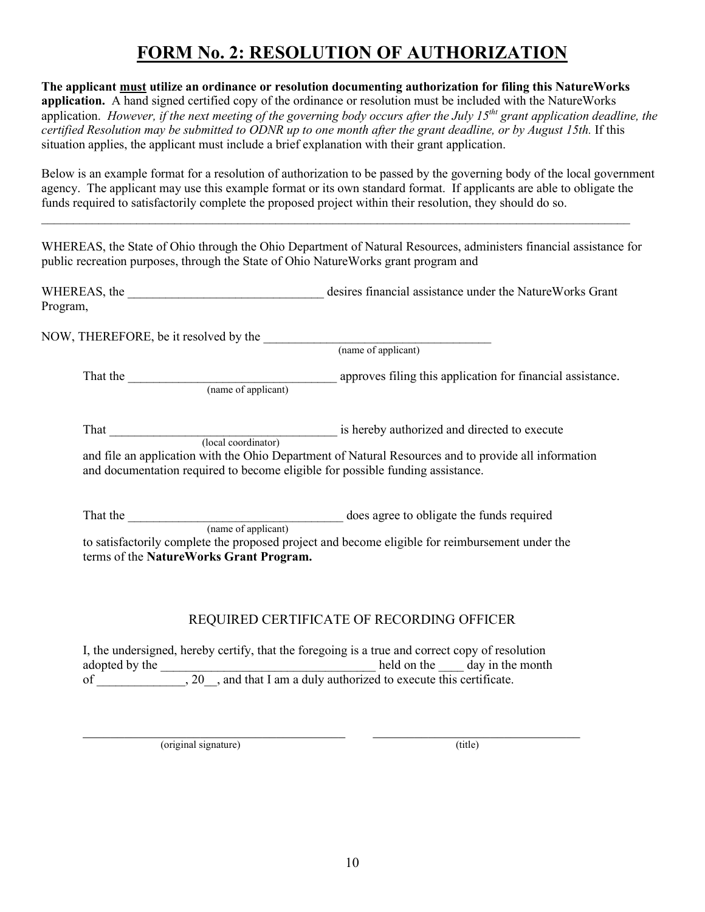# **FORM No. 2: RESOLUTION OF AUTHORIZATION**

**The applicant must utilize an ordinance or resolution documenting authorization for filing this NatureWorks application.** A hand signed certified copy of the ordinance or resolution must be included with the NatureWorks application. *However, if the next meeting of the governing body occurs after the July 15<sup>tht</sup> grant application deadline, the certified Resolution may be submitted to ODNR up to one month after the grant deadline, or by August 15th.* If this situation applies, the applicant must include a brief explanation with their grant application.

Below is an example format for a resolution of authorization to be passed by the governing body of the local government agency. The applicant may use this example format or its own standard format. If applicants are able to obligate the funds required to satisfactorily complete the proposed project within their resolution, they should do so.

WHEREAS, the State of Ohio through the Ohio Department of Natural Resources, administers financial assistance for public recreation purposes, through the State of Ohio NatureWorks grant program and

 $\mathcal{L}_\mathcal{L} = \mathcal{L}_\mathcal{L} = \mathcal{L}_\mathcal{L} = \mathcal{L}_\mathcal{L} = \mathcal{L}_\mathcal{L} = \mathcal{L}_\mathcal{L} = \mathcal{L}_\mathcal{L} = \mathcal{L}_\mathcal{L} = \mathcal{L}_\mathcal{L} = \mathcal{L}_\mathcal{L} = \mathcal{L}_\mathcal{L} = \mathcal{L}_\mathcal{L} = \mathcal{L}_\mathcal{L} = \mathcal{L}_\mathcal{L} = \mathcal{L}_\mathcal{L} = \mathcal{L}_\mathcal{L} = \mathcal{L}_\mathcal{L}$ 

| WHEREAS, the | desires financial assistance under the Nature Works Grant |  |
|--------------|-----------------------------------------------------------|--|
| Program,     |                                                           |  |

NOW, THEREFORE, be it resolved by the \_\_\_\_\_\_\_\_\_\_\_\_\_\_\_\_\_\_\_\_\_\_\_\_\_\_\_\_\_\_\_\_\_\_\_\_ (name of applicant)

That the \_\_\_\_\_\_\_\_\_\_\_\_\_\_\_\_\_\_\_\_\_\_\_\_\_\_\_\_\_\_\_\_\_ approves filing this application for financial assistance. (name of applicant)

That \_\_\_\_\_\_\_\_\_\_\_\_\_\_\_\_\_\_\_\_\_\_\_\_\_\_\_\_\_\_\_\_\_\_\_\_ is hereby authorized and directed to execute (local coordinator) and file an application with the Ohio Department of Natural Resources and to provide all information

and documentation required to become eligible for possible funding assistance.

That the **EXECUTE:** That the **The contract of the funds required** does agree to obligate the funds required (name of applicant)

to satisfactorily complete the proposed project and become eligible for reimbursement under the terms of the **NatureWorks Grant Program.**

### REQUIRED CERTIFICATE OF RECORDING OFFICER

I, the undersigned, hereby certify, that the foregoing is a true and correct copy of resolution adopted by the \_\_\_\_\_\_\_\_\_\_\_\_\_\_\_\_\_\_\_\_\_\_\_\_\_\_\_\_\_\_\_\_\_\_ held on the \_\_\_\_ day in the month of \_\_\_\_\_\_\_\_\_\_\_\_\_, 20\_\_, and that I am a duly authorized to execute this certificate.

 $\_$ (original signature) (title)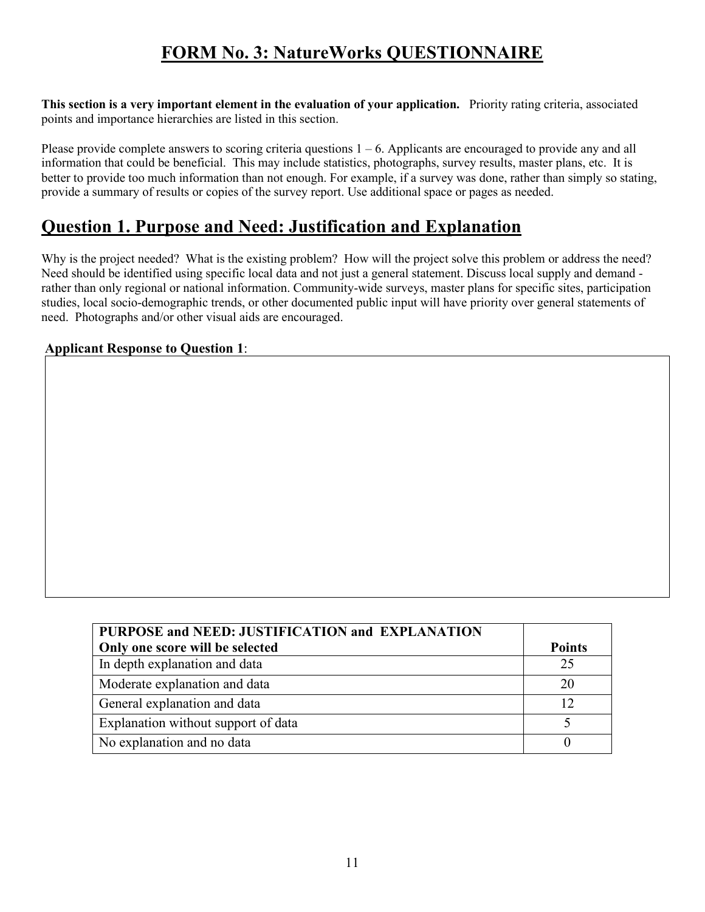# **FORM No. 3: NatureWorks QUESTIONNAIRE**

**This section is a very important element in the evaluation of your application.** Priority rating criteria, associated points and importance hierarchies are listed in this section.

Please provide complete answers to scoring criteria questions  $1 - 6$ . Applicants are encouraged to provide any and all information that could be beneficial. This may include statistics, photographs, survey results, master plans, etc. It is better to provide too much information than not enough. For example, if a survey was done, rather than simply so stating, provide a summary of results or copies of the survey report. Use additional space or pages as needed.

### **Question 1. Purpose and Need: Justification and Explanation**

Why is the project needed? What is the existing problem? How will the project solve this problem or address the need? Need should be identified using specific local data and not just a general statement. Discuss local supply and demand rather than only regional or national information. Community-wide surveys, master plans for specific sites, participation studies, local socio-demographic trends, or other documented public input will have priority over general statements of need. Photographs and/or other visual aids are encouraged.

### **Applicant Response to Question 1**:

| PURPOSE and NEED: JUSTIFICATION and EXPLANATION |               |
|-------------------------------------------------|---------------|
| Only one score will be selected                 | <b>Points</b> |
| In depth explanation and data                   | 25            |
| Moderate explanation and data                   | 20            |
| General explanation and data                    |               |
| Explanation without support of data             |               |
| No explanation and no data                      |               |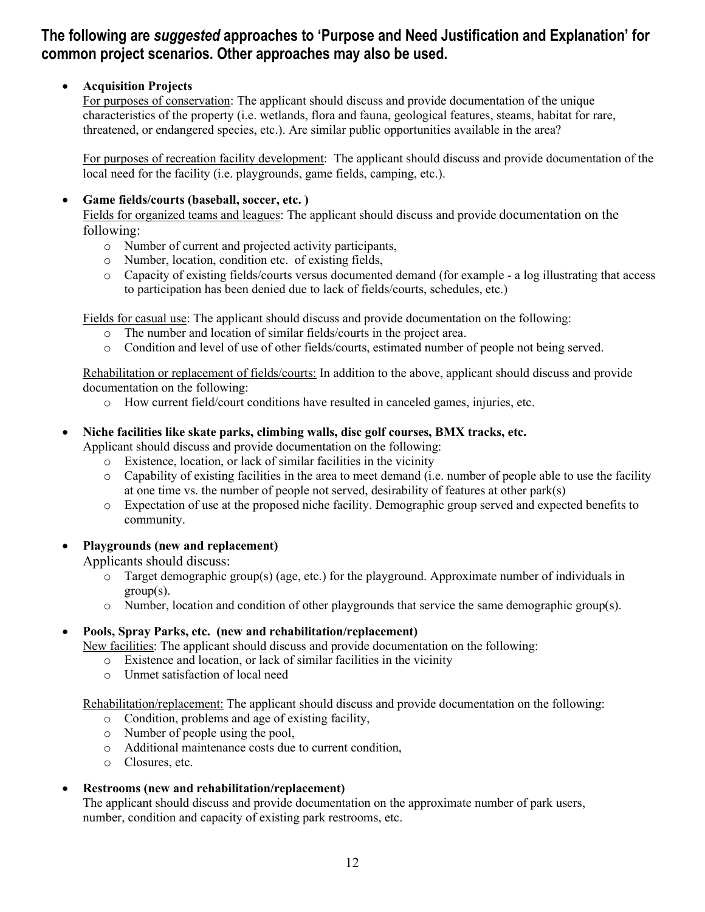### **The following are** *suggested* **approaches to 'Purpose and Need Justification and Explanation' for common project scenarios. Other approaches may also be used.**

### • **Acquisition Projects**

For purposes of conservation: The applicant should discuss and provide documentation of the unique characteristics of the property (i.e. wetlands, flora and fauna, geological features, steams, habitat for rare, threatened, or endangered species, etc.). Are similar public opportunities available in the area?

For purposes of recreation facility development: The applicant should discuss and provide documentation of the local need for the facility (i.e. playgrounds, game fields, camping, etc.).

#### • **Game fields/courts (baseball, soccer, etc. )**

Fields for organized teams and leagues: The applicant should discuss and provide documentation on the following:

- o Number of current and projected activity participants,
- o Number, location, condition etc. of existing fields,
- o Capacity of existing fields/courts versus documented demand (for example a log illustrating that access to participation has been denied due to lack of fields/courts, schedules, etc.)

Fields for casual use: The applicant should discuss and provide documentation on the following:

- o The number and location of similar fields/courts in the project area.
- o Condition and level of use of other fields/courts, estimated number of people not being served.

Rehabilitation or replacement of fields/courts: In addition to the above, applicant should discuss and provide documentation on the following:

- o How current field/court conditions have resulted in canceled games, injuries, etc.
- **Niche facilities like skate parks, climbing walls, disc golf courses, BMX tracks, etc.**

Applicant should discuss and provide documentation on the following:

- o Existence, location, or lack of similar facilities in the vicinity
- $\circ$  Capability of existing facilities in the area to meet demand (i.e. number of people able to use the facility at one time vs. the number of people not served, desirability of features at other park(s)
- o Expectation of use at the proposed niche facility. Demographic group served and expected benefits to community.
- **Playgrounds (new and replacement)**

Applicants should discuss:

- o Target demographic group(s) (age, etc.) for the playground. Approximate number of individuals in group(s).
- o Number, location and condition of other playgrounds that service the same demographic group(s).

#### • **Pools, Spray Parks, etc. (new and rehabilitation/replacement)**

New facilities: The applicant should discuss and provide documentation on the following:

- o Existence and location, or lack of similar facilities in the vicinity
- o Unmet satisfaction of local need

Rehabilitation/replacement: The applicant should discuss and provide documentation on the following:

- o Condition, problems and age of existing facility,
- o Number of people using the pool,
- o Additional maintenance costs due to current condition,
- o Closures, etc.

#### • **Restrooms (new and rehabilitation/replacement)**

The applicant should discuss and provide documentation on the approximate number of park users, number, condition and capacity of existing park restrooms, etc.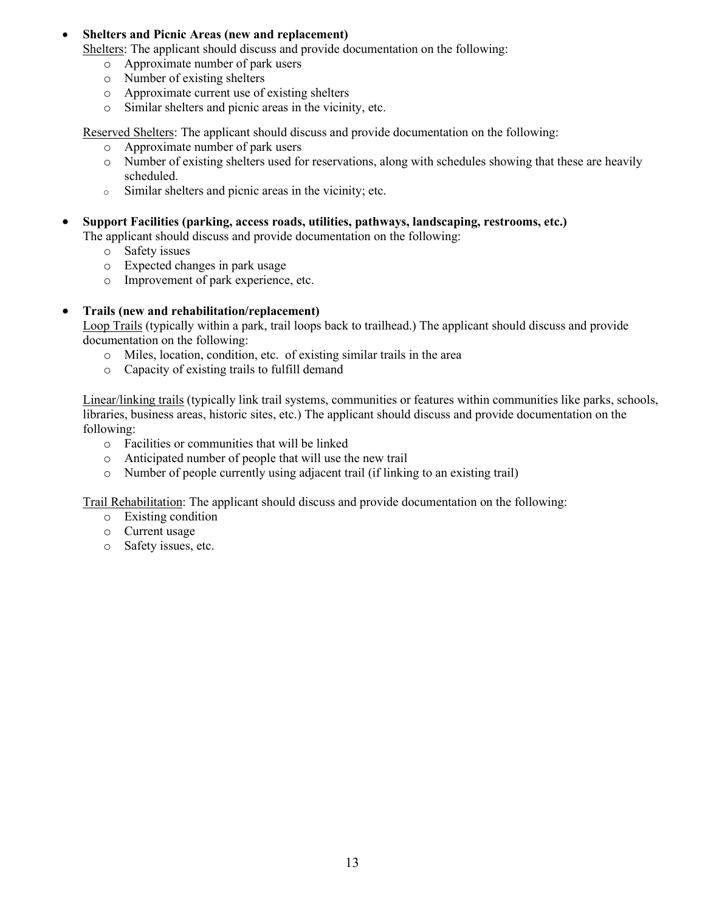#### • **Shelters and Picnic Areas (new and replacement)**

Shelters: The applicant should discuss and provide documentation on the following:

- o Approximate number of park users
- o Number of existing shelters
- o Approximate current use of existing shelters
- o Similar shelters and picnic areas in the vicinity, etc.

Reserved Shelters: The applicant should discuss and provide documentation on the following:

- o Approximate number of park users
- o Number of existing shelters used for reservations, along with schedules showing that these are heavily scheduled.
- <sup>o</sup> Similar shelters and picnic areas in the vicinity; etc.
- **Support Facilities (parking, access roads, utilities, pathways, landscaping, restrooms, etc.)**

The applicant should discuss and provide documentation on the following:

- o Safety issues
- o Expected changes in park usage
- o Improvement of park experience, etc.

#### • **Trails (new and rehabilitation/replacement)**

Loop Trails (typically within a park, trail loops back to trailhead.) The applicant should discuss and provide documentation on the following:

- o Miles, location, condition, etc. of existing similar trails in the area
- o Capacity of existing trails to fulfill demand

Linear/linking trails (typically link trail systems, communities or features within communities like parks, schools, libraries, business areas, historic sites, etc.) The applicant should discuss and provide documentation on the following:

- o Facilities or communities that will be linked
- o Anticipated number of people that will use the new trail
- o Number of people currently using adjacent trail (if linking to an existing trail)

Trail Rehabilitation: The applicant should discuss and provide documentation on the following:

- o Existing condition
- o Current usage
- o Safety issues, etc.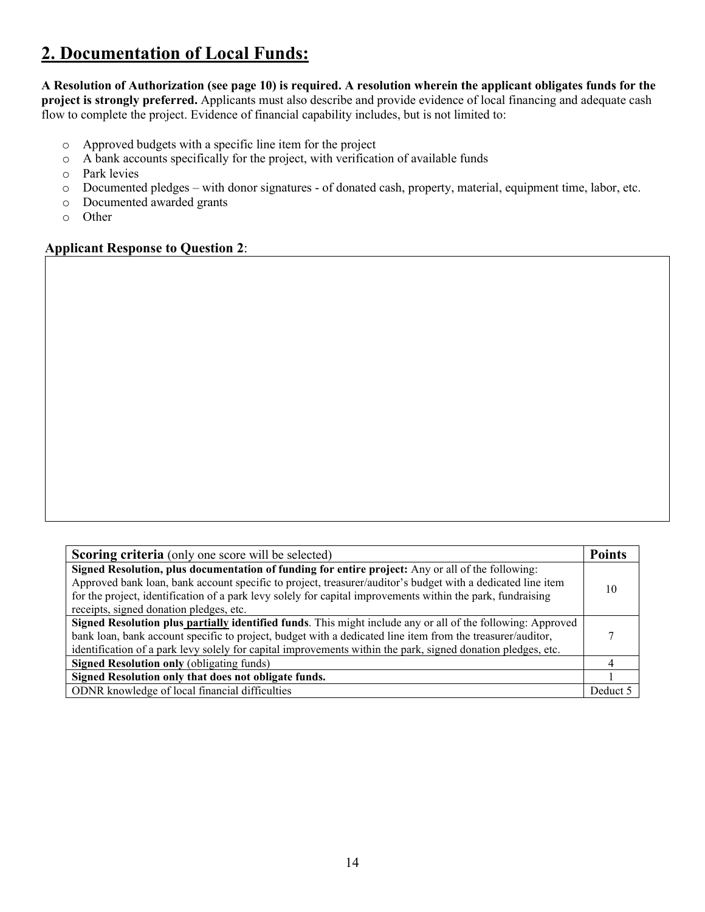# **2. Documentation of Local Funds:**

**A Resolution of Authorization (see page 10) is required. A resolution wherein the applicant obligates funds for the project is strongly preferred.** Applicants must also describe and provide evidence of local financing and adequate cash flow to complete the project. Evidence of financial capability includes, but is not limited to:

- o Approved budgets with a specific line item for the project o A bank accounts specifically for the project, with verificat
- A bank accounts specifically for the project, with verification of available funds
- o Park levies
- o Documented pledges with donor signatures of donated cash, property, material, equipment time, labor, etc.
- o Documented awarded grants
- o Other

**Applicant Response to Question 2**:

| <b>Scoring criteria</b> (only one score will be selected)                                                                                                                                                                                                                                                                                                                  | <b>Points</b> |
|----------------------------------------------------------------------------------------------------------------------------------------------------------------------------------------------------------------------------------------------------------------------------------------------------------------------------------------------------------------------------|---------------|
| Signed Resolution, plus documentation of funding for entire project: Any or all of the following:<br>Approved bank loan, bank account specific to project, treasurer/auditor's budget with a dedicated line item<br>for the project, identification of a park levy solely for capital improvements within the park, fundraising<br>receipts, signed donation pledges, etc. | 10            |
| Signed Resolution plus partially identified funds. This might include any or all of the following: Approved<br>bank loan, bank account specific to project, budget with a dedicated line item from the treasurer/auditor,<br>identification of a park levy solely for capital improvements within the park, signed donation pledges, etc.                                  |               |
| <b>Signed Resolution only (obligating funds)</b>                                                                                                                                                                                                                                                                                                                           |               |
| Signed Resolution only that does not obligate funds.                                                                                                                                                                                                                                                                                                                       |               |
| ODNR knowledge of local financial difficulties                                                                                                                                                                                                                                                                                                                             | Deduct        |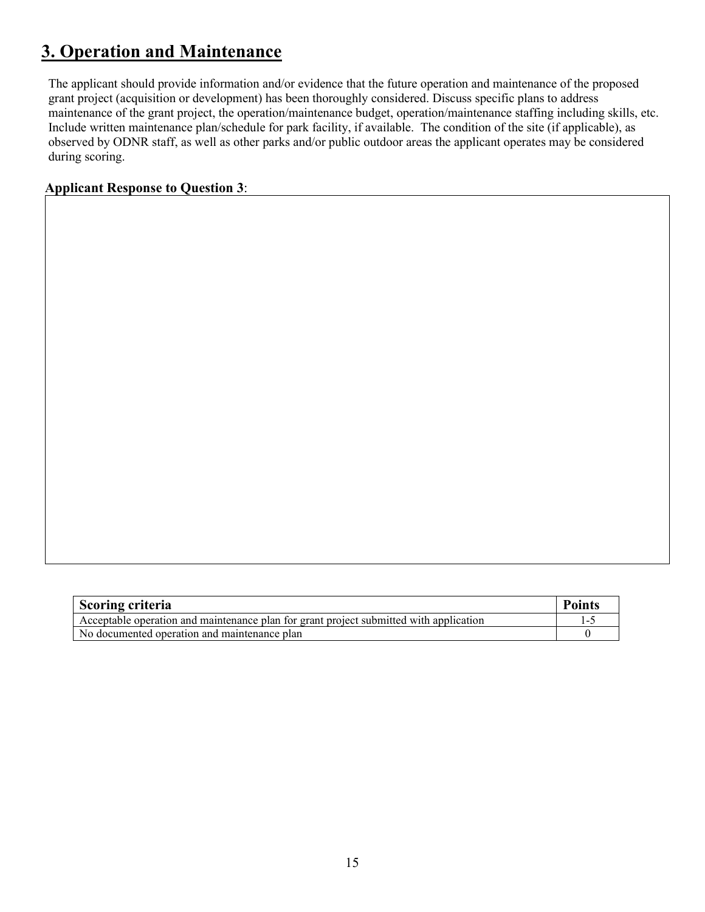# **3. Operation and Maintenance**

The applicant should provide information and/or evidence that the future operation and maintenance of the proposed grant project (acquisition or development) has been thoroughly considered. Discuss specific plans to address maintenance of the grant project, the operation/maintenance budget, operation/maintenance staffing including skills, etc. Include written maintenance plan/schedule for park facility, if available. The condition of the site (if applicable), as observed by ODNR staff, as well as other parks and/or public outdoor areas the applicant operates may be considered during scoring.

#### **Applicant Response to Question 3**:

| Scoring criteria                                                                       | <b>Points</b> |
|----------------------------------------------------------------------------------------|---------------|
| Acceptable operation and maintenance plan for grant project submitted with application |               |
| No documented operation and maintenance plan                                           |               |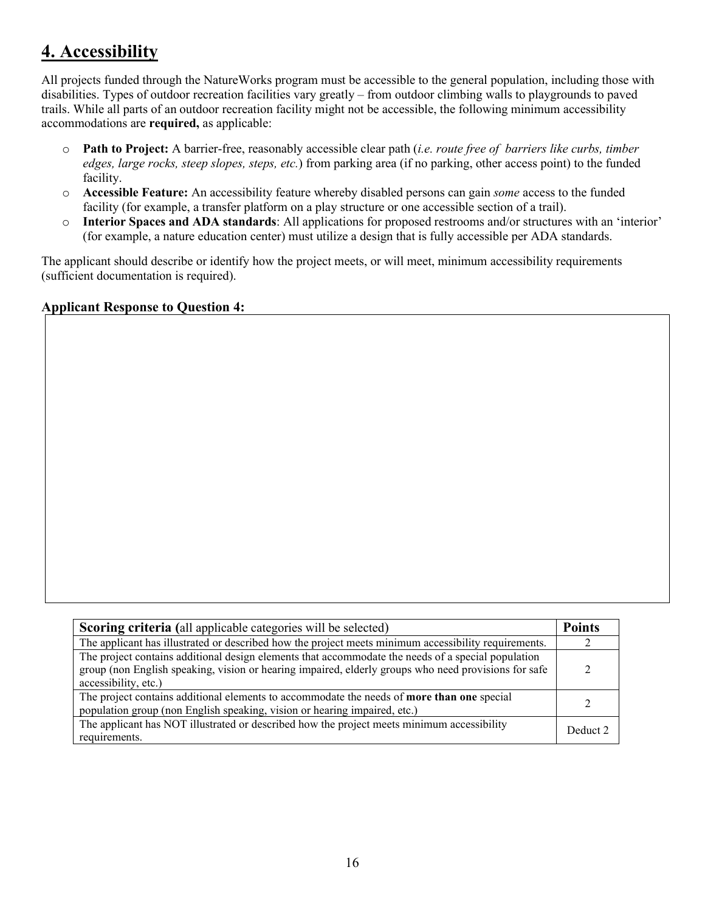### **4. Accessibility**

All projects funded through the NatureWorks program must be accessible to the general population, including those with disabilities. Types of outdoor recreation facilities vary greatly – from outdoor climbing walls to playgrounds to paved trails. While all parts of an outdoor recreation facility might not be accessible, the following minimum accessibility accommodations are **required,** as applicable:

- o **Path to Project:** A barrier-free, reasonably accessible clear path (*i.e. route free of barriers like curbs, timber edges, large rocks, steep slopes, steps, etc.*) from parking area (if no parking, other access point) to the funded facility.
- o **Accessible Feature:** An accessibility feature whereby disabled persons can gain *some* access to the funded facility (for example, a transfer platform on a play structure or one accessible section of a trail).
- o **Interior Spaces and ADA standards**: All applications for proposed restrooms and/or structures with an 'interior' (for example, a nature education center) must utilize a design that is fully accessible per ADA standards.

The applicant should describe or identify how the project meets, or will meet, minimum accessibility requirements (sufficient documentation is required).

#### **Applicant Response to Question 4:**

| <b>Scoring criteria</b> (all applicable categories will be selected)                                 |          |
|------------------------------------------------------------------------------------------------------|----------|
| The applicant has illustrated or described how the project meets minimum accessibility requirements. |          |
| The project contains additional design elements that accommodate the needs of a special population   |          |
| group (non English speaking, vision or hearing impaired, elderly groups who need provisions for safe |          |
| accessibility, etc.)                                                                                 |          |
| The project contains additional elements to accommodate the needs of <b>more than one</b> special    |          |
| population group (non English speaking, vision or hearing impaired, etc.)                            |          |
| The applicant has NOT illustrated or described how the project meets minimum accessibility           | Deduct 2 |
| requirements.                                                                                        |          |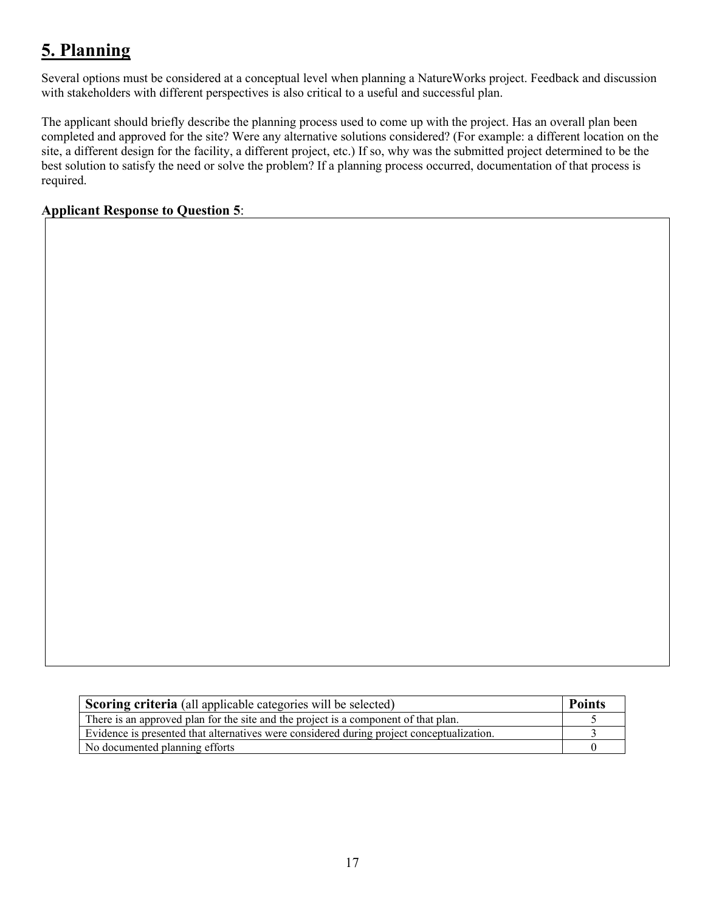# **5. Planning**

Several options must be considered at a conceptual level when planning a NatureWorks project. Feedback and discussion with stakeholders with different perspectives is also critical to a useful and successful plan.

The applicant should briefly describe the planning process used to come up with the project. Has an overall plan been completed and approved for the site? Were any alternative solutions considered? (For example: a different location on the site, a different design for the facility, a different project, etc.) If so, why was the submitted project determined to be the best solution to satisfy the need or solve the problem? If a planning process occurred, documentation of that process is required.

### **Applicant Response to Question 5**:

| Scoring criteria (all applicable categories will be selected)                             |  |
|-------------------------------------------------------------------------------------------|--|
| There is an approved plan for the site and the project is a component of that plan.       |  |
| Evidence is presented that alternatives were considered during project conceptualization. |  |
| No documented planning efforts                                                            |  |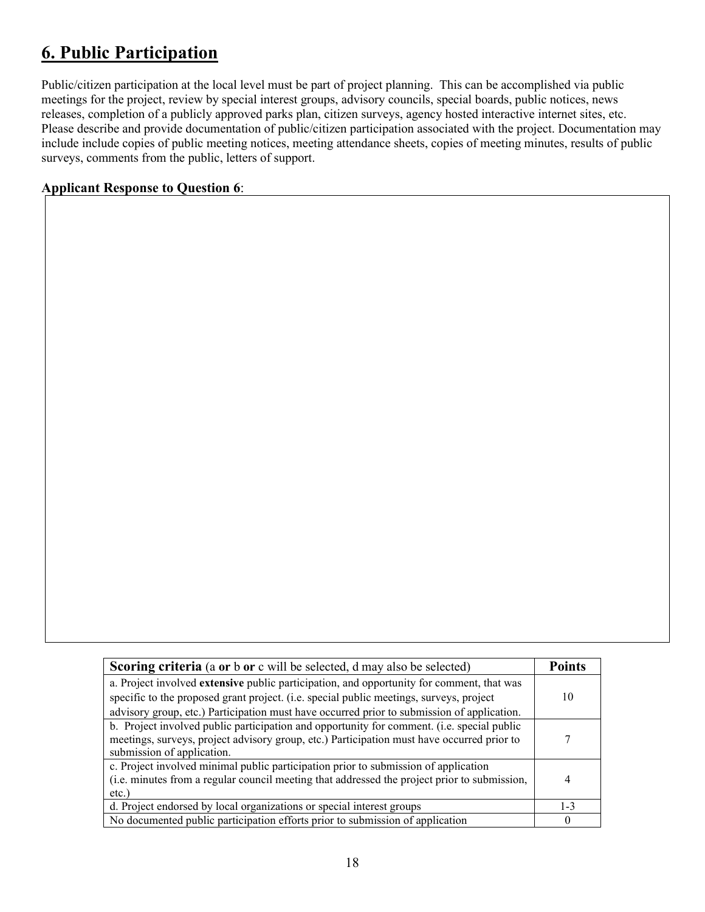# **6. Public Participation**

Public/citizen participation at the local level must be part of project planning. This can be accomplished via public meetings for the project, review by special interest groups, advisory councils, special boards, public notices, news releases, completion of a publicly approved parks plan, citizen surveys, agency hosted interactive internet sites, etc. Please describe and provide documentation of public/citizen participation associated with the project. Documentation may include include copies of public meeting notices, meeting attendance sheets, copies of meeting minutes, results of public surveys, comments from the public, letters of support.

### **Applicant Response to Question 6**:

| <b>Scoring criteria</b> (a or b or c will be selected, d may also be selected)                                                                                                                                         | <b>Points</b> |
|------------------------------------------------------------------------------------------------------------------------------------------------------------------------------------------------------------------------|---------------|
| a. Project involved extensive public participation, and opportunity for comment, that was                                                                                                                              |               |
| specific to the proposed grant project. (i.e. special public meetings, surveys, project                                                                                                                                | 10            |
| advisory group, etc.) Participation must have occurred prior to submission of application.                                                                                                                             |               |
| b. Project involved public participation and opportunity for comment. (i.e. special public<br>meetings, surveys, project advisory group, etc.) Participation must have occurred prior to<br>submission of application. |               |
| c. Project involved minimal public participation prior to submission of application<br>(i.e. minutes from a regular council meeting that addressed the project prior to submission,<br>$etc.$ )                        |               |
| d. Project endorsed by local organizations or special interest groups                                                                                                                                                  | $1 - 3$       |
| No documented public participation efforts prior to submission of application                                                                                                                                          |               |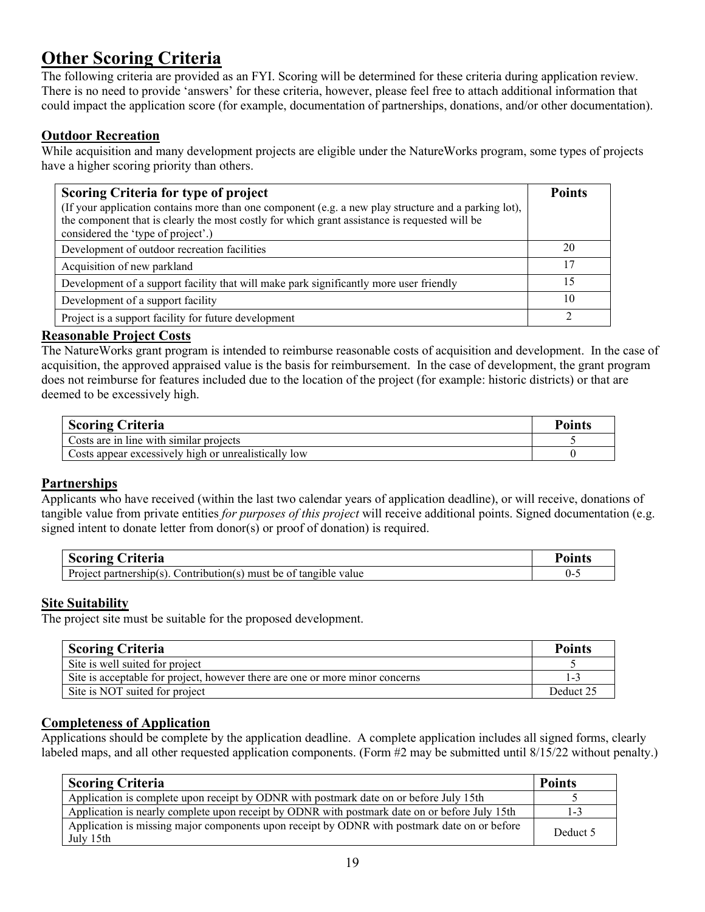# **Other Scoring Criteria**

The following criteria are provided as an FYI. Scoring will be determined for these criteria during application review. There is no need to provide 'answers' for these criteria, however, please feel free to attach additional information that could impact the application score (for example, documentation of partnerships, donations, and/or other documentation).

### **Outdoor Recreation**

While acquisition and many development projects are eligible under the NatureWorks program, some types of projects have a higher scoring priority than others.

| Scoring Criteria for type of project<br>(If your application contains more than one component (e.g. a new play structure and a parking lot),<br>the component that is clearly the most costly for which grant assistance is requested will be<br>considered the 'type of project'.) | <b>Points</b> |
|-------------------------------------------------------------------------------------------------------------------------------------------------------------------------------------------------------------------------------------------------------------------------------------|---------------|
| Development of outdoor recreation facilities                                                                                                                                                                                                                                        | 20            |
| Acquisition of new parkland                                                                                                                                                                                                                                                         |               |
| Development of a support facility that will make park significantly more user friendly                                                                                                                                                                                              |               |
| Development of a support facility                                                                                                                                                                                                                                                   | 10            |
| Project is a support facility for future development                                                                                                                                                                                                                                | ◠             |

#### **Reasonable Project Costs**

The NatureWorks grant program is intended to reimburse reasonable costs of acquisition and development. In the case of acquisition, the approved appraised value is the basis for reimbursement. In the case of development, the grant program does not reimburse for features included due to the location of the project (for example: historic districts) or that are deemed to be excessively high.

| <b>Scoring Criteria</b>                              |  |
|------------------------------------------------------|--|
| Costs are in line with similar projects              |  |
| Costs appear excessively high or unrealistically low |  |

#### **Partnerships**

Applicants who have received (within the last two calendar years of application deadline), or will receive, donations of tangible value from private entities *for purposes of this project* will receive additional points. Signed documentation (e.g. signed intent to donate letter from donor(s) or proof of donation) is required.

| <b>Scoring</b><br>Criteria                                                | $\mathbf{v}_{\text{oints}}$ |
|---------------------------------------------------------------------------|-----------------------------|
| $\vert$ Project partnership(s). Contribution(s) must be of tangible value | . .                         |

#### **Site Suitability**

The project site must be suitable for the proposed development.

| <b>Scoring Criteria</b>                                                      | <b>Points</b> |
|------------------------------------------------------------------------------|---------------|
| Site is well suited for project                                              |               |
| Site is acceptable for project, however there are one or more minor concerns |               |
| Site is NOT suited for project                                               | Deduct 25     |

#### **Completeness of Application**

Applications should be complete by the application deadline. A complete application includes all signed forms, clearly labeled maps, and all other requested application components. (Form #2 may be submitted until 8/15/22 without penalty.)

| <b>Scoring Criteria</b>                                                                                   | <b>Points</b> |
|-----------------------------------------------------------------------------------------------------------|---------------|
| Application is complete upon receipt by ODNR with postmark date on or before July 15th                    |               |
| Application is nearly complete upon receipt by ODNR with postmark date on or before July 15th             | $1 - 3$       |
| Application is missing major components upon receipt by ODNR with postmark date on or before<br>July 15th | Deduct 5      |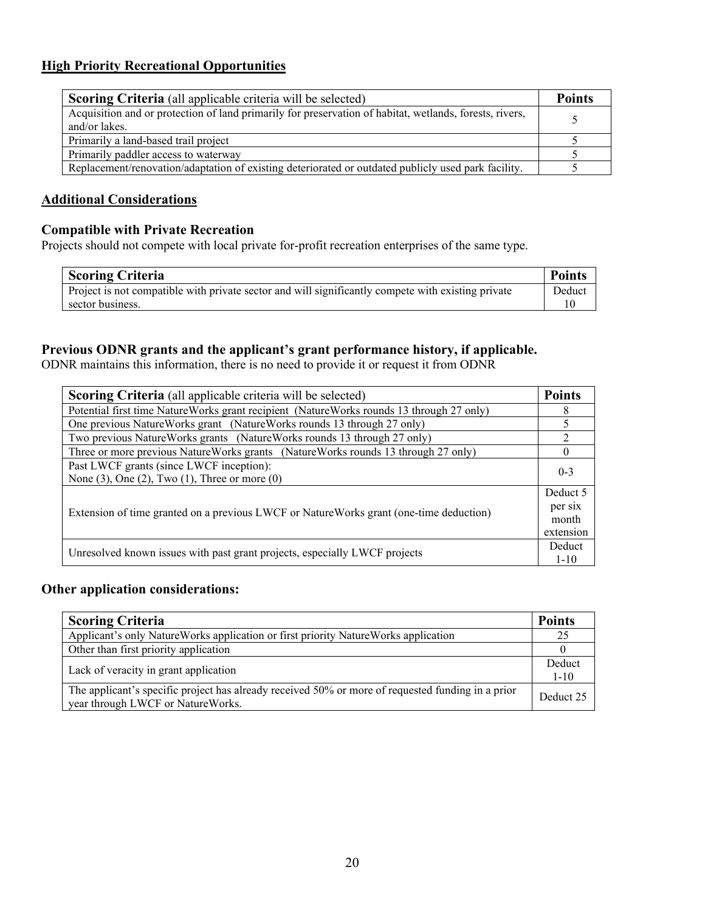### **High Priority Recreational Opportunities**

| <b>Scoring Criteria</b> (all applicable criteria will be selected)                                                       | <b>Points</b> |
|--------------------------------------------------------------------------------------------------------------------------|---------------|
| Acquisition and or protection of land primarily for preservation of habitat, wetlands, forests, rivers,<br>and/or lakes. |               |
| Primarily a land-based trail project                                                                                     |               |
| Primarily paddler access to waterway                                                                                     |               |
| Replacement/renovation/adaptation of existing deteriorated or outdated publicly used park facility.                      |               |

### **Additional Considerations**

### **Compatible with Private Recreation**

Projects should not compete with local private for-profit recreation enterprises of the same type.

| <b>Scoring Criteria</b>                                                                            | <b>Points</b> |
|----------------------------------------------------------------------------------------------------|---------------|
| Project is not compatible with private sector and will significantly compete with existing private | Deduct        |
| sector business.                                                                                   |               |

### **Previous ODNR grants and the applicant's grant performance history, if applicable.**

ODNR maintains this information, there is no need to provide it or request it from ODNR

| <b>Scoring Criteria</b> (all applicable criteria will be selected)                       | <b>Points</b>  |  |
|------------------------------------------------------------------------------------------|----------------|--|
| Potential first time NatureWorks grant recipient (NatureWorks rounds 13 through 27 only) | 8              |  |
| One previous NatureWorks grant (NatureWorks rounds 13 through 27 only)                   |                |  |
| Two previous NatureWorks grants (NatureWorks rounds 13 through 27 only)                  | $\mathfrak{D}$ |  |
| Three or more previous NatureWorks grants (NatureWorks rounds 13 through 27 only)        | $\theta$       |  |
| Past LWCF grants (since LWCF inception):                                                 | $0 - 3$        |  |
| None $(3)$ , One $(2)$ , Two $(1)$ , Three or more $(0)$                                 |                |  |
|                                                                                          | Deduct 5       |  |
| Extension of time granted on a previous LWCF or NatureWorks grant (one-time deduction)   | per six        |  |
|                                                                                          | month          |  |
|                                                                                          |                |  |
| Unresolved known issues with past grant projects, especially LWCF projects               |                |  |

### **Other application considerations:**

| <b>Scoring Criteria</b>                                                                                                                | <b>Points</b>      |
|----------------------------------------------------------------------------------------------------------------------------------------|--------------------|
| Applicant's only NatureWorks application or first priority NatureWorks application                                                     | 25                 |
| Other than first priority application                                                                                                  |                    |
| Lack of veracity in grant application                                                                                                  | Deduct<br>$1 - 10$ |
| The applicant's specific project has already received 50% or more of requested funding in a prior<br>year through LWCF or NatureWorks. | Deduct 25          |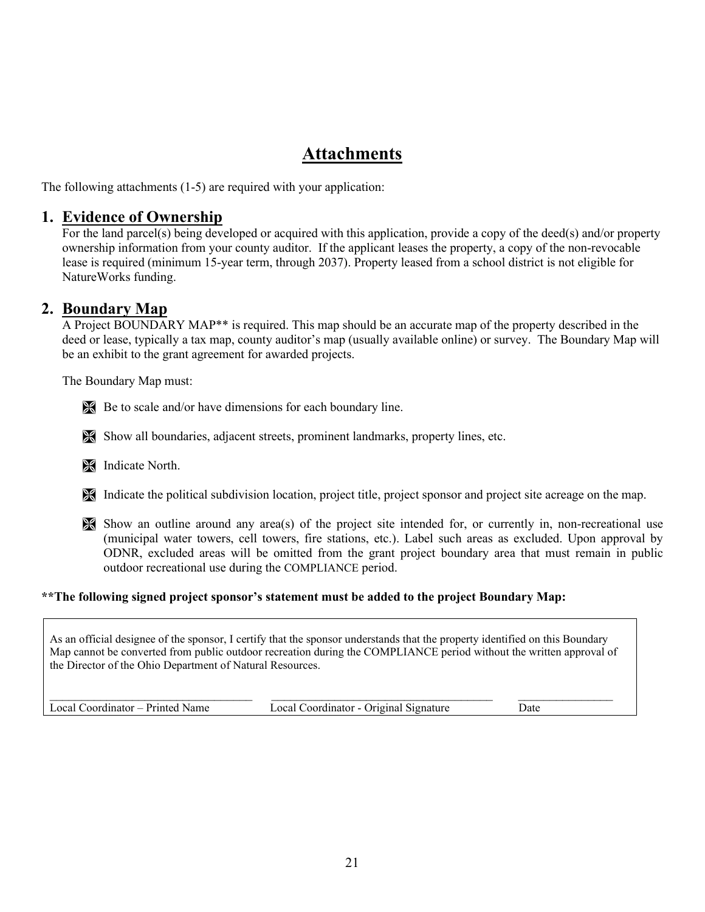### **Attachments**

The following attachments (1-5) are required with your application:

### **1. Evidence of Ownership**

For the land parcel(s) being developed or acquired with this application, provide a copy of the deed(s) and/or property ownership information from your county auditor. If the applicant leases the property, a copy of the non-revocable lease is required (minimum 15-year term, through 2037). Property leased from a school district is not eligible for NatureWorks funding.

### **2. Boundary Map**

A Project BOUNDARY MAP\*\* is required. This map should be an accurate map of the property described in the deed or lease, typically a tax map, county auditor's map (usually available online) or survey. The Boundary Map will be an exhibit to the grant agreement for awarded projects.

The Boundary Map must:

Be to scale and/or have dimensions for each boundary line.

Show all boundaries, adjacent streets, prominent landmarks, property lines, etc.

**Indicate North.** 

Indicate the political subdivision location, project title, project sponsor and project site acreage on the map.

Show an outline around any area(s) of the project site intended for, or currently in, non-recreational use (municipal water towers, cell towers, fire stations, etc.). Label such areas as excluded. Upon approval by ODNR, excluded areas will be omitted from the grant project boundary area that must remain in public outdoor recreational use during the COMPLIANCE period.

#### **\*\*The following signed project sponsor's statement must be added to the project Boundary Map:**

As an official designee of the sponsor, I certify that the sponsor understands that the property identified on this Boundary Map cannot be converted from public outdoor recreation during the COMPLIANCE period without the written approval of the Director of the Ohio Department of Natural Resources.

| Local Coordinator – Printed Name | ocal C<br>Coordinator - Original Signature | Jate |
|----------------------------------|--------------------------------------------|------|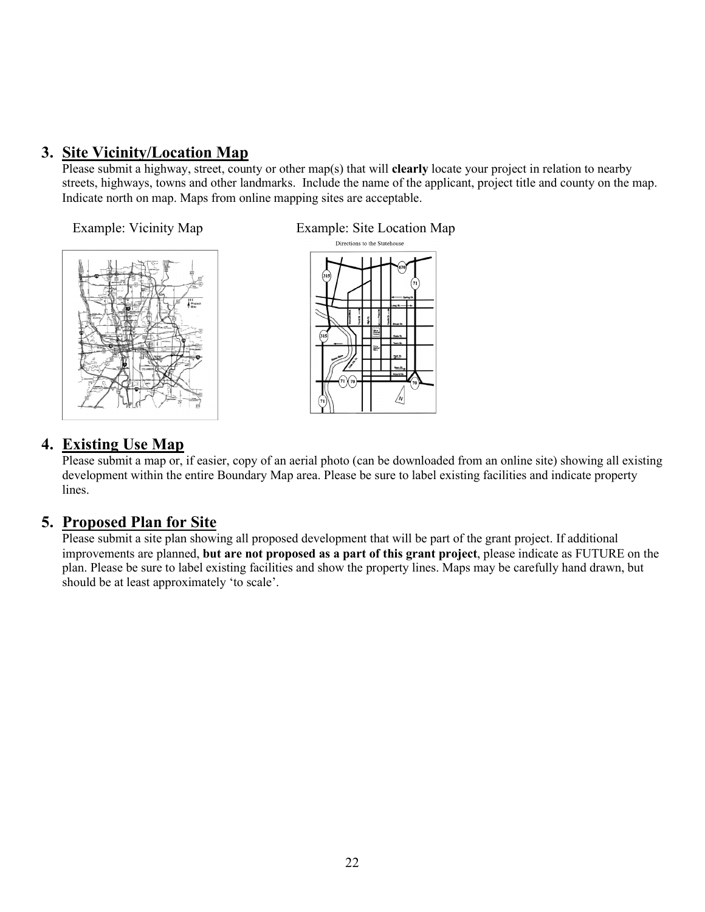### **3. Site Vicinity/Location Map**

Please submit a highway, street, county or other map(s) that will **clearly** locate your project in relation to nearby streets, highways, towns and other landmarks. Include the name of the applicant, project title and county on the map. Indicate north on map. Maps from online mapping sites are acceptable.



Example: Vicinity Map Example: Site Location Map Directions to the Statehouse



### **4. Existing Use Map**

Please submit a map or, if easier, copy of an aerial photo (can be downloaded from an online site) showing all existing development within the entire Boundary Map area. Please be sure to label existing facilities and indicate property lines.

### **5. Proposed Plan for Site**

Please submit a site plan showing all proposed development that will be part of the grant project. If additional improvements are planned, **but are not proposed as a part of this grant project**, please indicate as FUTURE on the plan. Please be sure to label existing facilities and show the property lines. Maps may be carefully hand drawn, but should be at least approximately 'to scale'.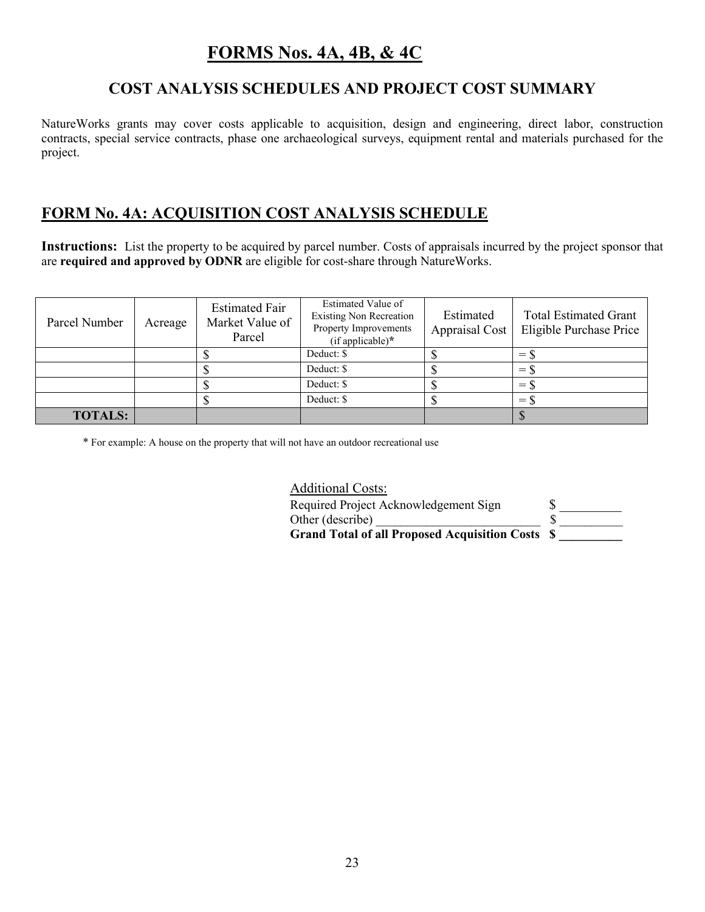### **FORMS Nos. 4A, 4B, & 4C**

### **COST ANALYSIS SCHEDULES AND PROJECT COST SUMMARY**

NatureWorks grants may cover costs applicable to acquisition, design and engineering, direct labor, construction contracts, special service contracts, phase one archaeological surveys, equipment rental and materials purchased for the project.

### **FORM No. 4A: ACQUISITION COST ANALYSIS SCHEDULE**

**Instructions:** List the property to be acquired by parcel number. Costs of appraisals incurred by the project sponsor that are **required and approved by ODNR** are eligible for cost-share through NatureWorks.

| Parcel Number  | Acreage | <b>Estimated Fair</b><br>Market Value of<br>Parcel | Estimated Value of<br><b>Existing Non Recreation</b><br>Property Improvements<br>$(if applicable)*$ | Estimated<br>Appraisal Cost | <b>Total Estimated Grant</b><br>Eligible Purchase Price |
|----------------|---------|----------------------------------------------------|-----------------------------------------------------------------------------------------------------|-----------------------------|---------------------------------------------------------|
|                |         |                                                    | Deduct: \$                                                                                          |                             | $=$ $\lambda$                                           |
|                |         |                                                    | Deduct: \$                                                                                          |                             | $=$ \$                                                  |
|                |         |                                                    | Deduct: \$                                                                                          |                             | $=$ S                                                   |
|                |         |                                                    | Deduct: \$                                                                                          |                             | $=$                                                     |
| <b>TOTALS:</b> |         |                                                    |                                                                                                     |                             |                                                         |

\* For example: A house on the property that will not have an outdoor recreational use

Additional Costs: Required Project Acknowledgement Sign \$ Other (describe) \_\_\_\_\_\_\_\_\_\_\_\_\_\_\_\_\_\_\_\_\_\_\_\_\_\_ \$ \_\_\_\_\_\_\_\_\_\_ **Grand Total of all Proposed Acquisition Costs \$ \_\_\_\_\_\_\_\_\_\_**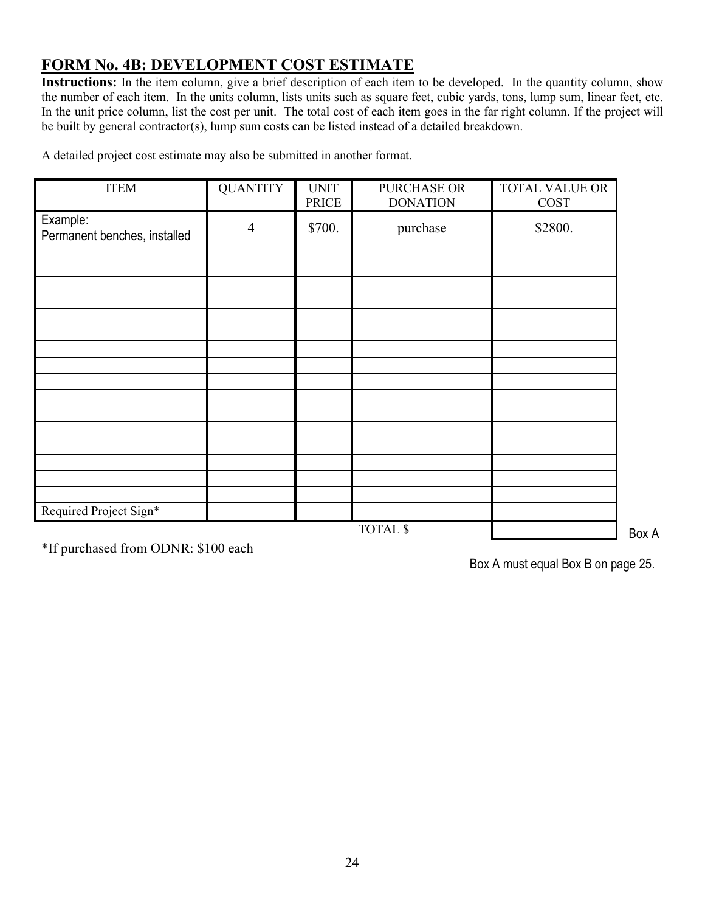### **FORM No. 4B: DEVELOPMENT COST ESTIMATE**

**Instructions:** In the item column, give a brief description of each item to be developed. In the quantity column, show the number of each item. In the units column, lists units such as square feet, cubic yards, tons, lump sum, linear feet, etc. In the unit price column, list the cost per unit. The total cost of each item goes in the far right column. If the project will be built by general contractor(s), lump sum costs can be listed instead of a detailed breakdown.

ITEM QUANTITY UNIT PRICE PURCHASE OR DONATION TOTAL VALUE OR COST Example: Example.<br>Permanent benches, installed 4 \$700. purchase \$2800. Required Project Sign\*

A detailed project cost estimate may also be submitted in another format.

TOTAL \$

Box A

\*If purchased from ODNR: \$100 each

Box A must equal Box B on page 25.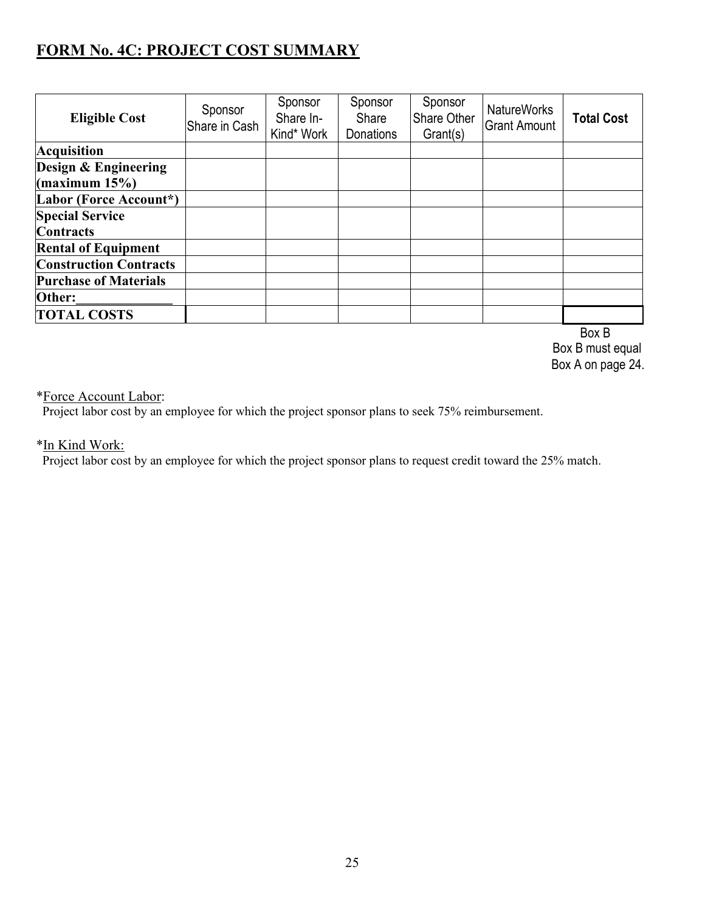### **FORM No. 4C: PROJECT COST SUMMARY**

| <b>Eligible Cost</b>                      | Sponsor<br>Share in Cash | Sponsor<br>Share In-<br>Kind* Work | Sponsor<br>Share<br><b>Donations</b> | Sponsor<br>Share Other<br>Grant(s) | <b>NatureWorks</b><br><b>Grant Amount</b> | <b>Total Cost</b> |
|-------------------------------------------|--------------------------|------------------------------------|--------------------------------------|------------------------------------|-------------------------------------------|-------------------|
| <b>Acquisition</b>                        |                          |                                    |                                      |                                    |                                           |                   |
| Design & Engineering<br>$\frac{15\%}{15}$ |                          |                                    |                                      |                                    |                                           |                   |
| Labor (Force Account*)                    |                          |                                    |                                      |                                    |                                           |                   |
| <b>Special Service</b>                    |                          |                                    |                                      |                                    |                                           |                   |
| <b>Contracts</b>                          |                          |                                    |                                      |                                    |                                           |                   |
| <b>Rental of Equipment</b>                |                          |                                    |                                      |                                    |                                           |                   |
| <b>Construction Contracts</b>             |                          |                                    |                                      |                                    |                                           |                   |
| <b>Purchase of Materials</b>              |                          |                                    |                                      |                                    |                                           |                   |
| Other:                                    |                          |                                    |                                      |                                    |                                           |                   |
| <b>TOTAL COSTS</b>                        |                          |                                    |                                      |                                    |                                           |                   |
|                                           |                          |                                    |                                      |                                    |                                           | Box B             |

 Box B must equal Box A on page 24.

### \*Force Account Labor:

Project labor cost by an employee for which the project sponsor plans to seek 75% reimbursement.

### \*In Kind Work:

Project labor cost by an employee for which the project sponsor plans to request credit toward the 25% match.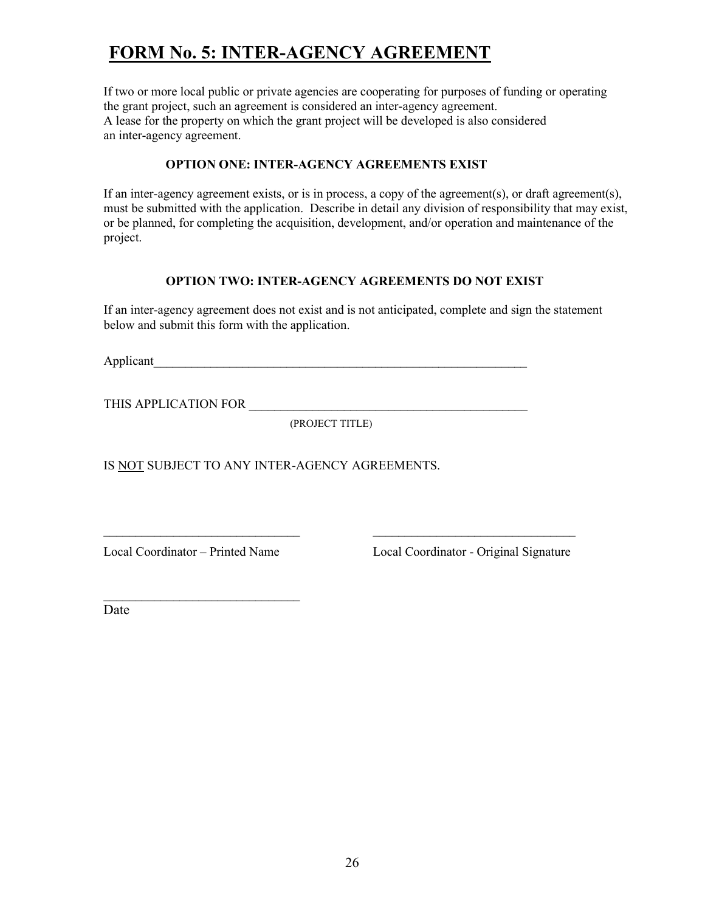# **FORM No. 5: INTER-AGENCY AGREEMENT**

If two or more local public or private agencies are cooperating for purposes of funding or operating the grant project, such an agreement is considered an inter-agency agreement. A lease for the property on which the grant project will be developed is also considered an inter-agency agreement.

### **OPTION ONE: INTER-AGENCY AGREEMENTS EXIST**

If an inter-agency agreement exists, or is in process, a copy of the agreement(s), or draft agreement(s), must be submitted with the application. Describe in detail any division of responsibility that may exist, or be planned, for completing the acquisition, development, and/or operation and maintenance of the project.

### **OPTION TWO: INTER-AGENCY AGREEMENTS DO NOT EXIST**

If an inter-agency agreement does not exist and is not anticipated, complete and sign the statement below and submit this form with the application.

Applicant

THIS APPLICATION FOR

(PROJECT TITLE)

\_\_\_\_\_\_\_\_\_\_\_\_\_\_\_\_\_\_\_\_\_\_\_\_\_\_\_\_\_\_\_ \_\_\_\_\_\_\_\_\_\_\_\_\_\_\_\_\_\_\_\_\_\_\_\_\_\_\_\_\_\_\_\_

IS NOT SUBJECT TO ANY INTER-AGENCY AGREEMENTS.

 $\mathcal{L}_\text{max}$  , where  $\mathcal{L}_\text{max}$  and  $\mathcal{L}_\text{max}$ 

Local Coordinator – Printed Name Local Coordinator - Original Signature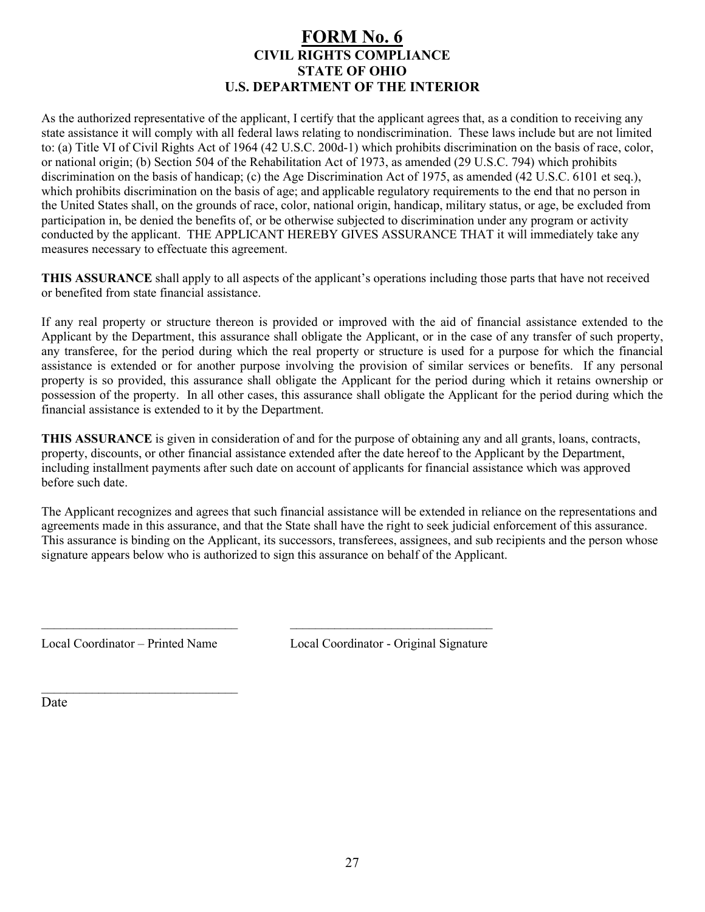### **FORM No. 6 CIVIL RIGHTS COMPLIANCE STATE OF OHIO U.S. DEPARTMENT OF THE INTERIOR**

As the authorized representative of the applicant, I certify that the applicant agrees that, as a condition to receiving any state assistance it will comply with all federal laws relating to nondiscrimination. These laws include but are not limited to: (a) Title VI of Civil Rights Act of 1964 (42 U.S.C. 200d-1) which prohibits discrimination on the basis of race, color, or national origin; (b) Section 504 of the Rehabilitation Act of 1973, as amended (29 U.S.C. 794) which prohibits discrimination on the basis of handicap; (c) the Age Discrimination Act of 1975, as amended (42 U.S.C. 6101 et seq.), which prohibits discrimination on the basis of age; and applicable regulatory requirements to the end that no person in the United States shall, on the grounds of race, color, national origin, handicap, military status, or age, be excluded from participation in, be denied the benefits of, or be otherwise subjected to discrimination under any program or activity conducted by the applicant. THE APPLICANT HEREBY GIVES ASSURANCE THAT it will immediately take any measures necessary to effectuate this agreement.

**THIS ASSURANCE** shall apply to all aspects of the applicant's operations including those parts that have not received or benefited from state financial assistance.

If any real property or structure thereon is provided or improved with the aid of financial assistance extended to the Applicant by the Department, this assurance shall obligate the Applicant, or in the case of any transfer of such property, any transferee, for the period during which the real property or structure is used for a purpose for which the financial assistance is extended or for another purpose involving the provision of similar services or benefits. If any personal property is so provided, this assurance shall obligate the Applicant for the period during which it retains ownership or possession of the property. In all other cases, this assurance shall obligate the Applicant for the period during which the financial assistance is extended to it by the Department.

**THIS ASSURANCE** is given in consideration of and for the purpose of obtaining any and all grants, loans, contracts, property, discounts, or other financial assistance extended after the date hereof to the Applicant by the Department, including installment payments after such date on account of applicants for financial assistance which was approved before such date.

The Applicant recognizes and agrees that such financial assistance will be extended in reliance on the representations and agreements made in this assurance, and that the State shall have the right to seek judicial enforcement of this assurance. This assurance is binding on the Applicant, its successors, transferees, assignees, and sub recipients and the person whose signature appears below who is authorized to sign this assurance on behalf of the Applicant.

 $\mathcal{L}_\text{max}$  , and the contribution of the contribution of the contribution of the contribution of the contribution of the contribution of the contribution of the contribution of the contribution of the contribution of t

 $\mathcal{L}_\text{max}$  , where  $\mathcal{L}_\text{max}$  and  $\mathcal{L}_\text{max}$ 

Local Coordinator – Printed Name Local Coordinator - Original Signature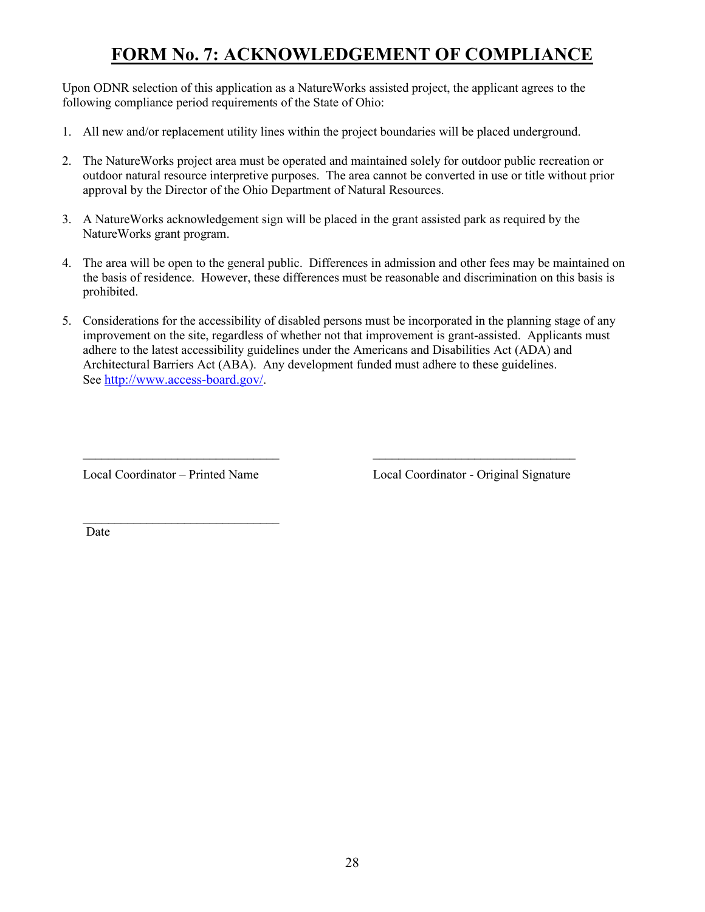# **FORM No. 7: ACKNOWLEDGEMENT OF COMPLIANCE**

Upon ODNR selection of this application as a NatureWorks assisted project, the applicant agrees to the following compliance period requirements of the State of Ohio:

- 1. All new and/or replacement utility lines within the project boundaries will be placed underground.
- 2. The NatureWorks project area must be operated and maintained solely for outdoor public recreation or outdoor natural resource interpretive purposes. The area cannot be converted in use or title without prior approval by the Director of the Ohio Department of Natural Resources.
- 3. A NatureWorks acknowledgement sign will be placed in the grant assisted park as required by the NatureWorks grant program.
- 4. The area will be open to the general public. Differences in admission and other fees may be maintained on the basis of residence. However, these differences must be reasonable and discrimination on this basis is prohibited.
- 5. Considerations for the accessibility of disabled persons must be incorporated in the planning stage of any improvement on the site, regardless of whether not that improvement is grant-assisted. Applicants must adhere to the latest accessibility guidelines under the Americans and Disabilities Act (ADA) and Architectural Barriers Act (ABA). Any development funded must adhere to these guidelines. See [http://www.access-board.gov/.](http://www.access-board.gov/)

 $\mathcal{L}_\text{max}$  , and the contract of the contract of the contract of the contract of the contract of the contract of the contract of the contract of the contract of the contract of the contract of the contract of the contr

 $\mathcal{L}_\text{max}$  , where  $\mathcal{L}_\text{max}$  and  $\mathcal{L}_\text{max}$ 

Local Coordinator – Printed Name Local Coordinator - Original Signature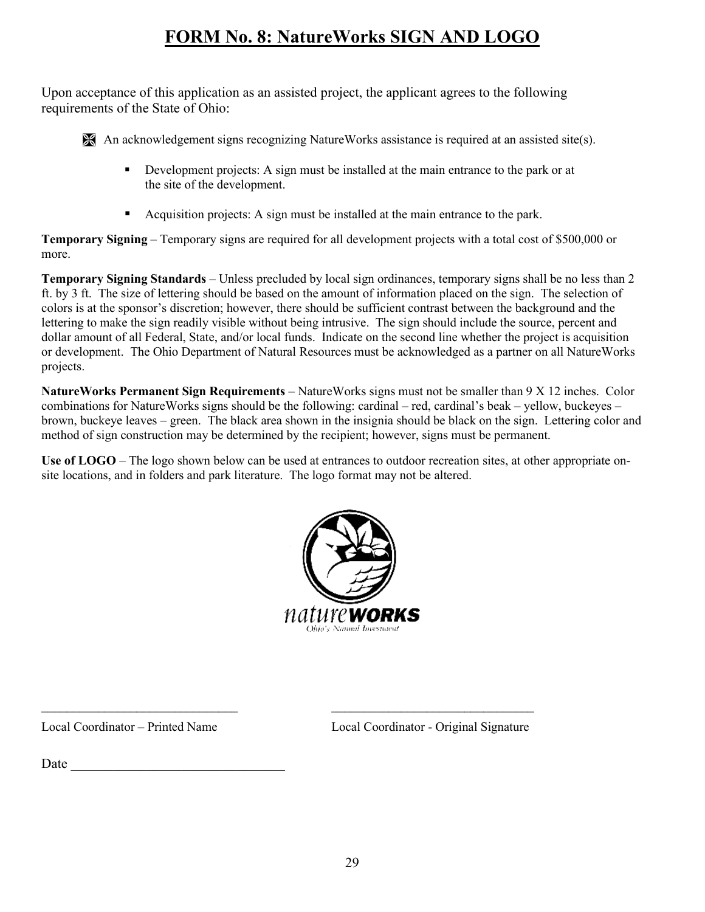# **FORM No. 8: NatureWorks SIGN AND LOGO**

Upon acceptance of this application as an assisted project, the applicant agrees to the following requirements of the State of Ohio:

An acknowledgement signs recognizing NatureWorks assistance is required at an assisted site(s).

- Development projects: A sign must be installed at the main entrance to the park or at the site of the development.
- Acquisition projects: A sign must be installed at the main entrance to the park.

**Temporary Signing** – Temporary signs are required for all development projects with a total cost of \$500,000 or more.

**Temporary Signing Standards** – Unless precluded by local sign ordinances, temporary signs shall be no less than 2 ft. by 3 ft. The size of lettering should be based on the amount of information placed on the sign. The selection of colors is at the sponsor's discretion; however, there should be sufficient contrast between the background and the lettering to make the sign readily visible without being intrusive. The sign should include the source, percent and dollar amount of all Federal, State, and/or local funds. Indicate on the second line whether the project is acquisition or development. The Ohio Department of Natural Resources must be acknowledged as a partner on all NatureWorks projects.

**NatureWorks Permanent Sign Requirements** – NatureWorks signs must not be smaller than 9 X 12 inches. Color combinations for NatureWorks signs should be the following: cardinal – red, cardinal's beak – yellow, buckeyes – brown, buckeye leaves – green. The black area shown in the insignia should be black on the sign. Lettering color and method of sign construction may be determined by the recipient; however, signs must be permanent.

**Use of LOGO** – The logo shown below can be used at entrances to outdoor recreation sites, at other appropriate onsite locations, and in folders and park literature. The logo format may not be altered.



 $\mathcal{L}_\text{max}$  , and the contribution of the contribution of the contribution of the contribution of the contribution of the contribution of the contribution of the contribution of the contribution of the contribution of t

Local Coordinator – Printed Name Local Coordinator - Original Signature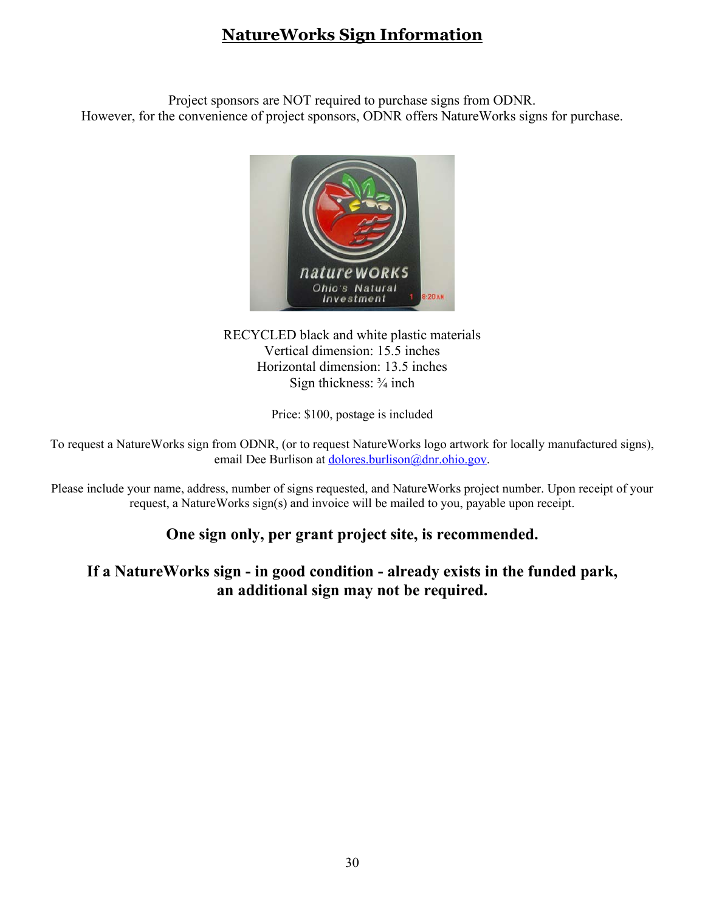### **NatureWorks Sign Information**

Project sponsors are NOT required to purchase signs from ODNR. However, for the convenience of project sponsors, ODNR offers NatureWorks signs for purchase.



RECYCLED black and white plastic materials Vertical dimension: 15.5 inches Horizontal dimension: 13.5 inches Sign thickness: ¾ inch

Price: \$100, postage is included

To request a NatureWorks sign from ODNR, (or to request NatureWorks logo artwork for locally manufactured signs), email Dee Burlison at [dolores.burlison@dnr.ohio.gov.](mailto:dolores.burlison@dnr.ohio.gov)

Please include your name, address, number of signs requested, and NatureWorks project number. Upon receipt of your request, a NatureWorks sign(s) and invoice will be mailed to you, payable upon receipt.

### **One sign only, per grant project site, is recommended.**

### **If a NatureWorks sign - in good condition - already exists in the funded park, an additional sign may not be required.**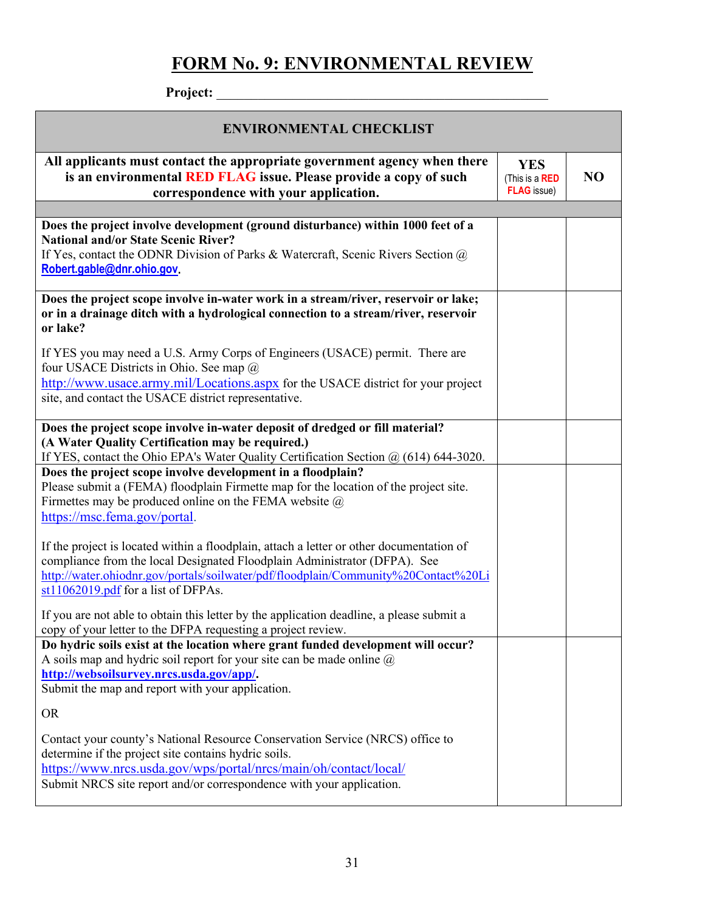# **FORM No. 9: ENVIRONMENTAL REVIEW**

| Project:                                                                                                                                                                                                                                                                                           |                                                    |                |
|----------------------------------------------------------------------------------------------------------------------------------------------------------------------------------------------------------------------------------------------------------------------------------------------------|----------------------------------------------------|----------------|
| <b>ENVIRONMENTAL CHECKLIST</b>                                                                                                                                                                                                                                                                     |                                                    |                |
| All applicants must contact the appropriate government agency when there<br>is an environmental RED FLAG issue. Please provide a copy of such<br>correspondence with your application.                                                                                                             | <b>YES</b><br>(This is a RED<br><b>FLAG</b> issue) | N <sub>O</sub> |
|                                                                                                                                                                                                                                                                                                    |                                                    |                |
| Does the project involve development (ground disturbance) within 1000 feet of a<br><b>National and/or State Scenic River?</b><br>If Yes, contact the ODNR Division of Parks & Watercraft, Scenic Rivers Section $\omega$<br>Robert.gable@dnr.ohio.gov.                                             |                                                    |                |
| Does the project scope involve in-water work in a stream/river, reservoir or lake;<br>or in a drainage ditch with a hydrological connection to a stream/river, reservoir<br>or lake?                                                                                                               |                                                    |                |
| If YES you may need a U.S. Army Corps of Engineers (USACE) permit. There are<br>four USACE Districts in Ohio. See map @<br>http://www.usace.army.mil/Locations.aspx for the USACE district for your project<br>site, and contact the USACE district representative.                                |                                                    |                |
| Does the project scope involve in-water deposit of dredged or fill material?<br>(A Water Quality Certification may be required.)<br>If YES, contact the Ohio EPA's Water Quality Certification Section $\omega$ (614) 644-3020.                                                                    |                                                    |                |
| Does the project scope involve development in a floodplain?<br>Please submit a (FEMA) floodplain Firmette map for the location of the project site.<br>Firmettes may be produced online on the FEMA website $\omega$<br>https://msc.fema.gov/portal.                                               |                                                    |                |
| If the project is located within a floodplain, attach a letter or other documentation of<br>compliance from the local Designated Floodplain Administrator (DFPA). See<br>http://water.ohiodnr.gov/portals/soilwater/pdf/floodplain/Community%20Contact%20Li<br>st11062019.pdf for a list of DFPAs. |                                                    |                |
| If you are not able to obtain this letter by the application deadline, a please submit a<br>copy of your letter to the DFPA requesting a project review.                                                                                                                                           |                                                    |                |
| Do hydric soils exist at the location where grant funded development will occur?<br>A soils map and hydric soil report for your site can be made online $\omega$<br>http://websoilsurvey.nrcs.usda.gov/app/.<br>Submit the map and report with your application.                                   |                                                    |                |
| <b>OR</b>                                                                                                                                                                                                                                                                                          |                                                    |                |
| Contact your county's National Resource Conservation Service (NRCS) office to<br>determine if the project site contains hydric soils.<br>https://www.nrcs.usda.gov/wps/portal/nrcs/main/oh/contact/local/<br>Submit NRCS site report and/or correspondence with your application.                  |                                                    |                |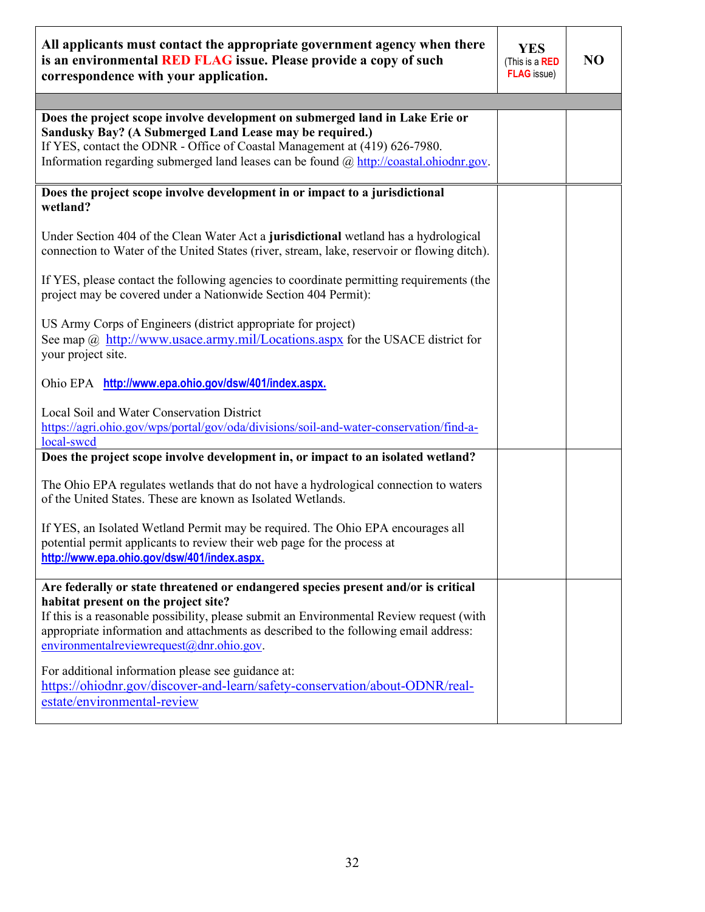| All applicants must contact the appropriate government agency when there<br>is an environmental RED FLAG issue. Please provide a copy of such<br>correspondence with your application.                                                                                                                          | <b>YES</b><br>(This is a RED<br><b>FLAG</b> issue) | N <sub>O</sub> |
|-----------------------------------------------------------------------------------------------------------------------------------------------------------------------------------------------------------------------------------------------------------------------------------------------------------------|----------------------------------------------------|----------------|
|                                                                                                                                                                                                                                                                                                                 |                                                    |                |
| Does the project scope involve development on submerged land in Lake Erie or<br>Sandusky Bay? (A Submerged Land Lease may be required.)<br>If YES, contact the ODNR - Office of Coastal Management at (419) 626-7980.<br>Information regarding submerged land leases can be found @ http://coastal.ohiodnr.gov. |                                                    |                |
| Does the project scope involve development in or impact to a jurisdictional<br>wetland?                                                                                                                                                                                                                         |                                                    |                |
| Under Section 404 of the Clean Water Act a jurisdictional wetland has a hydrological<br>connection to Water of the United States (river, stream, lake, reservoir or flowing ditch).                                                                                                                             |                                                    |                |
| If YES, please contact the following agencies to coordinate permitting requirements (the<br>project may be covered under a Nationwide Section 404 Permit):                                                                                                                                                      |                                                    |                |
| US Army Corps of Engineers (district appropriate for project)<br>See map $\omega$ http://www.usace.army.mil/Locations.aspx for the USACE district for<br>your project site.                                                                                                                                     |                                                    |                |
| Ohio EPA http://www.epa.ohio.gov/dsw/401/index.aspx.                                                                                                                                                                                                                                                            |                                                    |                |
| Local Soil and Water Conservation District<br>https://agri.ohio.gov/wps/portal/gov/oda/divisions/soil-and-water-conservation/find-a-<br>local-swcd                                                                                                                                                              |                                                    |                |
| Does the project scope involve development in, or impact to an isolated wetland?                                                                                                                                                                                                                                |                                                    |                |
| The Ohio EPA regulates wetlands that do not have a hydrological connection to waters<br>of the United States. These are known as Isolated Wetlands.                                                                                                                                                             |                                                    |                |
| If YES, an Isolated Wetland Permit may be required. The Ohio EPA encourages all<br>potential permit applicants to review their web page for the process at<br>http://www.epa.ohio.gov/dsw/401/index.aspx.                                                                                                       |                                                    |                |
| Are federally or state threatened or endangered species present and/or is critical<br>habitat present on the project site?<br>If this is a reasonable possibility, please submit an Environmental Review request (with<br>appropriate information and attachments as described to the following email address:  |                                                    |                |
| environmentalreviewrequest@dnr.ohio.gov.                                                                                                                                                                                                                                                                        |                                                    |                |
| For additional information please see guidance at:<br>https://ohiodnr.gov/discover-and-learn/safety-conservation/about-ODNR/real-<br>estate/environmental-review                                                                                                                                                |                                                    |                |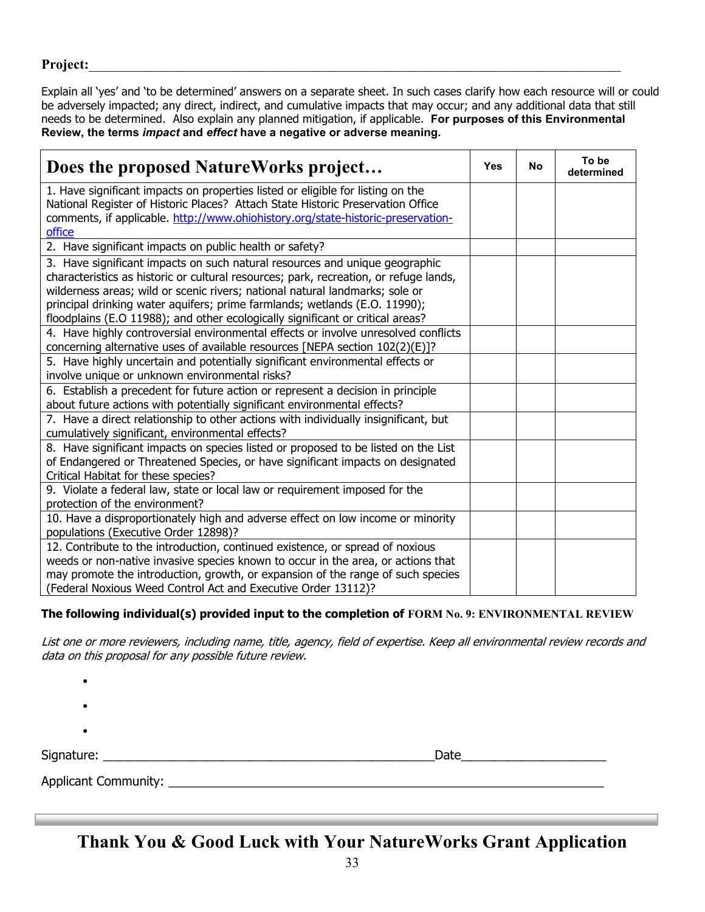### **Project:**\_\_\_\_\_\_\_\_\_\_\_\_\_\_\_\_\_\_\_\_\_\_\_\_\_\_\_\_\_\_\_\_\_\_\_\_\_\_\_\_\_\_\_\_\_\_\_\_\_\_\_\_\_\_\_\_\_\_\_\_\_\_\_\_\_\_\_\_\_\_\_\_\_\_\_\_\_

Explain all 'yes' and 'to be determined' answers on a separate sheet. In such cases clarify how each resource will or could be adversely impacted; any direct, indirect, and cumulative impacts that may occur; and any additional data that still needs to be determined. Also explain any planned mitigation, if applicable. **For purposes of this Environmental Review, the terms** *impact* **and** *effect* **have a negative or adverse meaning.**

| Does the proposed NatureWorks project                                                                                                                               | Yes | No | To be<br>determined |
|---------------------------------------------------------------------------------------------------------------------------------------------------------------------|-----|----|---------------------|
| 1. Have significant impacts on properties listed or eligible for listing on the                                                                                     |     |    |                     |
| National Register of Historic Places? Attach State Historic Preservation Office<br>comments, if applicable. http://www.ohiohistory.org/state-historic-preservation- |     |    |                     |
| office                                                                                                                                                              |     |    |                     |
| 2. Have significant impacts on public health or safety?                                                                                                             |     |    |                     |
| 3. Have significant impacts on such natural resources and unique geographic                                                                                         |     |    |                     |
| characteristics as historic or cultural resources; park, recreation, or refuge lands,                                                                               |     |    |                     |
| wilderness areas; wild or scenic rivers; national natural landmarks; sole or                                                                                        |     |    |                     |
| principal drinking water aquifers; prime farmlands; wetlands (E.O. 11990);                                                                                          |     |    |                     |
| floodplains (E.O 11988); and other ecologically significant or critical areas?                                                                                      |     |    |                     |
| 4. Have highly controversial environmental effects or involve unresolved conflicts                                                                                  |     |    |                     |
| concerning alternative uses of available resources [NEPA section 102(2)(E)]?                                                                                        |     |    |                     |
| 5. Have highly uncertain and potentially significant environmental effects or                                                                                       |     |    |                     |
| involve unique or unknown environmental risks?                                                                                                                      |     |    |                     |
| 6. Establish a precedent for future action or represent a decision in principle                                                                                     |     |    |                     |
| about future actions with potentially significant environmental effects?                                                                                            |     |    |                     |
| 7. Have a direct relationship to other actions with individually insignificant, but<br>cumulatively significant, environmental effects?                             |     |    |                     |
| 8. Have significant impacts on species listed or proposed to be listed on the List                                                                                  |     |    |                     |
| of Endangered or Threatened Species, or have significant impacts on designated                                                                                      |     |    |                     |
| Critical Habitat for these species?                                                                                                                                 |     |    |                     |
| 9. Violate a federal law, state or local law or requirement imposed for the                                                                                         |     |    |                     |
| protection of the environment?                                                                                                                                      |     |    |                     |
| 10. Have a disproportionately high and adverse effect on low income or minority                                                                                     |     |    |                     |
| populations (Executive Order 12898)?                                                                                                                                |     |    |                     |
| 12. Contribute to the introduction, continued existence, or spread of noxious                                                                                       |     |    |                     |
| weeds or non-native invasive species known to occur in the area, or actions that                                                                                    |     |    |                     |
| may promote the introduction, growth, or expansion of the range of such species                                                                                     |     |    |                     |
| (Federal Noxious Weed Control Act and Executive Order 13112)?                                                                                                       |     |    |                     |

### **The following individual(s) provided input to the completion of FORM No. 9: ENVIRONMENTAL REVIEW**

List one or more reviewers, including name, title, agency, field of expertise. Keep all environmental review records and data on this proposal for any possible future review.

| ٠                             |      |  |
|-------------------------------|------|--|
| ٠                             |      |  |
| Signature: _________          | Date |  |
| Applicant Community: ________ |      |  |

**Thank You & Good Luck with Your NatureWorks Grant Application**